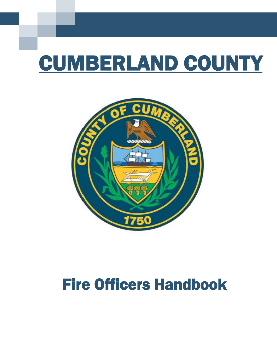# CUMBERLAND COUNTY



## Fire Officers Handbook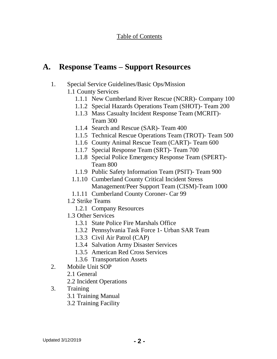## **A. Response Teams – Support Resources**

- 1. Special Service Guidelines/Basic Ops/Mission
	- 1.1 County Services
		- 1.1.1 New Cumberland River Rescue (NCRR)- Company 100
		- 1.1.2 Special Hazards Operations Team (SHOT)- Team 200
		- 1.1.3 Mass Casualty Incident Response Team (MCRIT)- Team 300
		- 1.1.4 Search and Rescue (SAR)- Team 400
		- 1.1.5 Technical Rescue Operations Team (TROT)- Team 500
		- 1.1.6 County Animal Rescue Team (CART)- Team 600
		- 1.1.7 Special Response Team (SRT)- Team 700
		- 1.1.8 Special Police Emergency Response Team (SPERT)- Team 800
		- 1.1.9 Public Safety Information Team (PSIT)- Team 900
		- 1.1.10 Cumberland County Critical Incident Stress Management/Peer Support Team (CISM)-Team 1000
		- 1.1.11 Cumberland County Coroner- Car 99
	- 1.2 Strike Teams
		- 1.2.1 Company Resources
	- 1.3 Other Services
		- 1.3.1 State Police Fire Marshals Office
		- 1.3.2 Pennsylvania Task Force 1- Urban SAR Team
		- 1.3.3 Civil Air Patrol (CAP)
		- 1.3.4 Salvation Army Disaster Services
		- 1.3.5 American Red Cross Services
		- 1.3.6 Transportation Assets
- 2. Mobile Unit SOP
	- 2.1 General
	- 2.2 Incident Operations
- 3. Training
	- 3.1 Training Manual
	- 3.2 Training Facility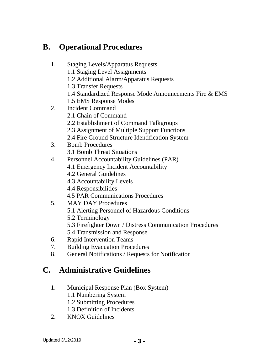## **B. Operational Procedures**

- 1. Staging Levels/Apparatus Requests
	- 1.1 Staging Level Assignments
	- 1.2 Additional Alarm/Apparatus Requests
	- 1.3 Transfer Requests
	- 1.4 Standardized Response Mode Announcements Fire & EMS
	- 1.5 EMS Response Modes
- 2. Incident Command
	- 2.1 Chain of Command
	- 2.2 Establishment of Command Talkgroups
	- 2.3 Assignment of Multiple Support Functions
	- 2.4 Fire Ground Structure Identification System
- 3. Bomb Procedures
	- 3.1 Bomb Threat Situations
- 4. Personnel Accountability Guidelines (PAR)
	- 4.1 Emergency Incident Accountability
	- 4.2 General Guidelines
	- 4.3 Accountability Levels
	- 4.4 Responsibilities
	- 4.5 PAR Communications Procedures
- 5. MAY DAY Procedures
	- 5.1 Alerting Personnel of Hazardous Conditions
	- 5.2 Terminology
	- 5.3 Firefighter Down / Distress Communication Procedures
	- 5.4 Transmission and Response
- 6. Rapid Intervention Teams
- 7. Building Evacuation Procedures
- 8. General Notifications / Requests for Notification

## **C. Administrative Guidelines**

- 1. Municipal Response Plan (Box System)
	- 1.1 Numbering System
	- 1.2 Submitting Procedures
	- 1.3 Definition of Incidents
- 2. KNOX Guidelines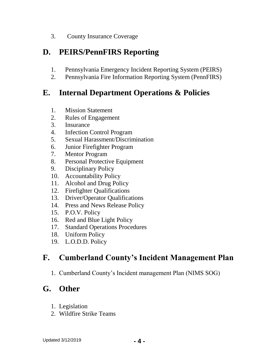3. County Insurance Coverage

## **D. PEIRS/PennFIRS Reporting**

- 1. Pennsylvania Emergency Incident Reporting System (PEIRS)
- 2. Pennsylvania Fire Information Reporting System (PennFIRS)

## **E. Internal Department Operations & Policies**

- 1. Mission Statement
- 2. Rules of Engagement
- 3. Insurance
- 4. Infection Control Program
- 5. Sexual Harassment/Discrimination
- 6. Junior Firefighter Program
- 7. Mentor Program
- 8. Personal Protective Equipment
- 9. Disciplinary Policy
- 10. Accountability Policy
- 11. Alcohol and Drug Policy
- 12. Firefighter Qualifications
- 13. Driver/Operator Qualifications
- 14. Press and News Release Policy
- 15. P.O.V. Policy
- 16. Red and Blue Light Policy
- 17. Standard Operations Procedures
- 18. Uniform Policy
- 19. L.O.D.D. Policy

## **F. Cumberland County's Incident Management Plan**

1. Cumberland County's Incident management Plan (NIMS SOG)

## **G. Other**

- 1. Legislation
- 2. Wildfire Strike Teams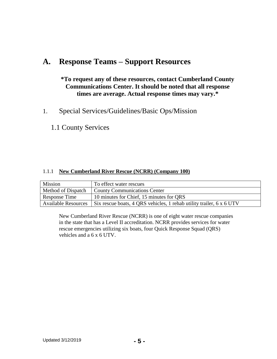## **A. Response Teams – Support Resources**

## **\*To request any of these resources, contact Cumberland County Communications Center. It should be noted that all response times are average. Actual response times may vary.\***

1. Special Services/Guidelines/Basic Ops/Mission

1.1 County Services

## 1.1.1 **New Cumberland River Rescue (NCRR) (Company 100)**

| Mission                    | To effect water rescues                                              |
|----------------------------|----------------------------------------------------------------------|
| Method of Dispatch         | County Communications Center                                         |
| Response Time              | 10 minutes for Chief, 15 minutes for QRS                             |
| <b>Available Resources</b> | Six rescue boats, 4 QRS vehicles, 1 rehab utility trailer, 6 x 6 UTV |

New Cumberland River Rescue (NCRR) is one of eight water rescue companies in the state that has a Level II accreditation. NCRR provides services for water rescue emergencies utilizing six boats, four Quick Response Squad (QRS) vehicles and a 6 x 6 UTV.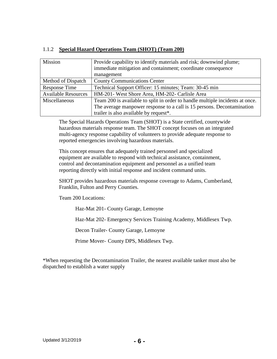| 1.1.2 Special Hazard Operations Team (SHOT) (Team 200) |  |
|--------------------------------------------------------|--|
|                                                        |  |

| Mission                    | Provide capability to identify materials and risk; downwind plume;            |
|----------------------------|-------------------------------------------------------------------------------|
|                            | immediate mitigation and containment; coordinate consequence                  |
|                            | management                                                                    |
| Method of Dispatch         | <b>County Communications Center</b>                                           |
| Response Time              | Technical Support Officer: 15 minutes; Team: 30-45 min                        |
| <b>Available Resources</b> | HM-201- West Shore Area, HM-202- Carlisle Area                                |
| Miscellaneous              | Team 200 is available to split in order to handle multiple incidents at once. |
|                            | The average manpower response to a call is 15 persons. Decontamination        |
|                            | trailer is also available by request*.                                        |

The Special Hazards Operations Team (SHOT) is a State certified, countywide hazardous materials response team. The SHOT concept focuses on an integrated multi-agency response capability of volunteers to provide adequate response to reported emergencies involving hazardous materials.

This concept ensures that adequately trained personnel and specialized equipment are available to respond with technical assistance, containment, control and decontamination equipment and personnel as a unified team reporting directly with initial response and incident command units.

SHOT provides hazardous materials response coverage to Adams, Cumberland, Franklin, Fulton and Perry Counties.

Team 200 Locations:

Haz-Mat 201- County Garage, Lemoyne

Haz-Mat 202- Emergency Services Training Academy, Middlesex Twp.

Decon Trailer- County Garage, Lemoyne

Prime Mover- County DPS, Middlesex Twp.

\*When requesting the Decontamination Trailer, the nearest available tanker must also be dispatched to establish a water supply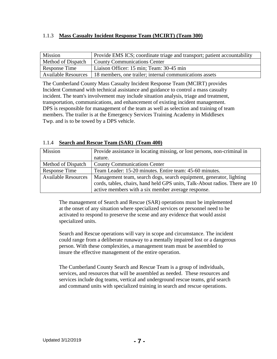## 1.1.3 **Mass Casualty Incident Response Team (MCIRT) (Team 300)**

| Mission                    | Provide EMS ICS; coordinate triage and transport; patient accountability |
|----------------------------|--------------------------------------------------------------------------|
| Method of Dispatch         | <b>County Communications Center</b>                                      |
| Response Time              | Liaison Officer: 15 min; Team: 30-45 min                                 |
| <b>Available Resources</b> | 18 members, one trailer; internal communications assets                  |

The Cumberland County Mass Casualty Incident Response Team (MCIRT) provides Incident Command with technical assistance and guidance to control a mass casualty incident. The team's involvement may include situation analysis, triage and treatment, transportation, communications, and enhancement of existing incident management. DPS is responsible for management of the team as well as selection and training of team members. The trailer is at the Emergency Services Training Academy in Middlesex Twp. and is to be towed by a DPS vehicle.

## 1.1.4 **Search and Rescue Team (SAR) (Team 400)**

| Mission                    | Provide assistance in locating missing, or lost persons, non-criminal in    |
|----------------------------|-----------------------------------------------------------------------------|
|                            | nature.                                                                     |
| Method of Dispatch         | <b>County Communications Center</b>                                         |
| Response Time              | Team Leader: 15-20 minutes. Entire team: 45-60 minutes.                     |
| <b>Available Resources</b> | Management team, search dogs, search equipment, generator, lighting         |
|                            | cords, tables, chairs, hand held GPS units, Talk-About radios. There are 10 |
|                            | active members with a six member average response.                          |

The management of Search and Rescue (SAR) operations must be implemented at the onset of any situation where specialized services or personnel need to be activated to respond to preserve the scene and any evidence that would assist specialized units.

Search and Rescue operations will vary in scope and circumstance. The incident could range from a deliberate runaway to a mentally impaired lost or a dangerous person. With these complexities, a management team must be assembled to insure the effective management of the entire operation.

The Cumberland County Search and Rescue Team is a group of individuals, services, and resources that will be assembled as needed. These resources and services include dog teams, vertical and underground rescue teams, grid search and command units with specialized training in search and rescue operations.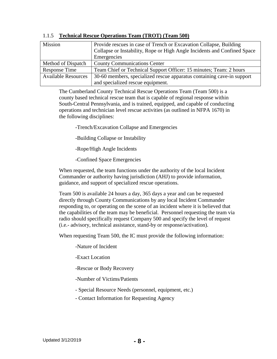| Mission                    | Provide rescues in case of Trench or Excavation Collapse, Building       |
|----------------------------|--------------------------------------------------------------------------|
|                            | Collapse or Instability, Rope or High Angle Incidents and Confined Space |
|                            | Emergencies                                                              |
| Method of Dispatch         | <b>County Communications Center</b>                                      |
| Response Time              | Team Chief or Technical Support Officer: 15 minutes; Team: 2 hours       |
| <b>Available Resources</b> | 30-60 members, specialized rescue apparatus containing cave-in support   |
|                            | and specialized rescue equipment.                                        |

#### 1.1.5 **Technical Rescue Operations Team (TROT) (Team 500)**

The Cumberland County Technical Rescue Operations Team (Team 500) is a county based technical rescue team that is capable of regional response within South-Central Pennsylvania, and is trained, equipped, and capable of conducting operations and technician level rescue activities (as outlined in NFPA 1670) in the following disciplines:

-Trench/Excavation Collapse and Emergencies

-Building Collapse or Instability

-Rope/High Angle Incidents

-Confined Space Emergencies

When requested, the team functions under the authority of the local Incident Commander or authority having jurisdiction (AHJ) to provide information, guidance, and support of specialized rescue operations.

Team 500 is available 24 hours a day, 365 days a year and can be requested directly through County Communications by any local Incident Commander responding to, or operating on the scene of an incident where it is believed that the capabilities of the team may be beneficial. Personnel requesting the team via radio should specifically request Company 500 and specify the level of request (i.e.- advisory, technical assistance, stand-by or response/activation).

When requesting Team 500, the IC must provide the following information:

-Nature of Incident

-Exact Location

-Rescue or Body Recovery

-Number of Victims/Patients

- Special Resource Needs (personnel, equipment, etc.)

- Contact Information for Requesting Agency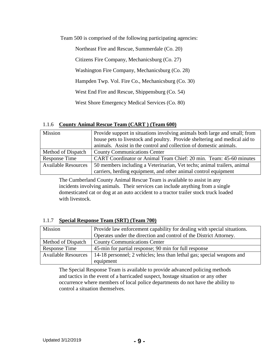Team 500 is comprised of the following participating agencies:

Northeast Fire and Rescue, Summerdale (Co. 20) Citizens Fire Company, Mechanicsburg (Co. 27) Washington Fire Company, Mechanicsburg (Co. 28) Hampden Twp. Vol. Fire Co., Mechanicsburg (Co. 30) West End Fire and Rescue, Shippensburg (Co. 54) West Shore Emergency Medical Services (Co. 80)

#### 1.1.6 **County Animal Rescue Team (CART ) (Team 600)**

| Mission                    | Provide support in situations involving animals both large and small; from<br>house pets to livestock and poultry. Provide sheltering and medical aid to<br>animals. Assist in the control and collection of domestic animals. |
|----------------------------|--------------------------------------------------------------------------------------------------------------------------------------------------------------------------------------------------------------------------------|
| Method of Dispatch         | <b>County Communications Center</b>                                                                                                                                                                                            |
| Response Time              | CART Coordinator or Animal Team Chief: 20 min. Team: 45-60 minutes                                                                                                                                                             |
| <b>Available Resources</b> | 50 members including a Veterinarian, Vet techs; animal trailers, animal                                                                                                                                                        |
|                            | carriers, herding equipment, and other animal control equipment                                                                                                                                                                |

The Cumberland County Animal Rescue Team is available to assist in any incidents involving animals. Their services can include anything from a single domesticated cat or dog at an auto accident to a tractor trailer stock truck loaded with livestock.

## 1.1.7 **Special Response Team (SRT) (Team 700)**

| Mission                    | Provide law enforcement capability for dealing with special situations.<br>Operates under the direction and control of the District Attorney. |
|----------------------------|-----------------------------------------------------------------------------------------------------------------------------------------------|
| Method of Dispatch         | <b>County Communications Center</b>                                                                                                           |
| Response Time              | 45-min for partial response; 90 min for full response                                                                                         |
| <b>Available Resources</b> | 14-18 personnel; 2 vehicles; less than lethal gas; special weapons and<br>equipment                                                           |

The Special Response Team is available to provide advanced policing methods and tactics in the event of a barricaded suspect, hostage situation or any other occurrence where members of local police departments do not have the ability to control a situation themselves.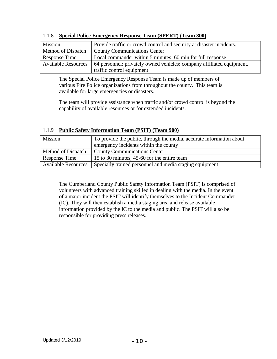| <b>Mission</b>             | Provide traffic or crowd control and security at disaster incidents.  |
|----------------------------|-----------------------------------------------------------------------|
| Method of Dispatch         | <b>County Communications Center</b>                                   |
| Response Time              | Local commander within 5 minutes; 60 min for full response.           |
| <b>Available Resources</b> | 64 personnel; privately owned vehicles; company affiliated equipment, |
|                            | traffic control equipment                                             |

#### 1.1.8 **Special Police Emergency Response Team (SPERT) (Team 800)**

The Special Police Emergency Response Team is made up of members of various Fire Police organizations from throughout the county. This team is available for large emergencies or disasters.

The team will provide assistance when traffic and/or crowd control is beyond the capability of available resources or for extended incidents.

| Mission                    | To provide the public, through the media, accurate information about |
|----------------------------|----------------------------------------------------------------------|
|                            | emergency incidents within the county                                |
| Method of Dispatch         | <b>County Communications Center</b>                                  |
| Response Time              | 15 to 30 minutes, 45-60 for the entire team                          |
| <b>Available Resources</b> | Specially trained personnel and media staging equipment              |

## 1.1.9 **Public Safety Information Team (PSIT) (Team 900)**

The Cumberland County Public Safety Information Team (PSIT) is comprised of volunteers with advanced training skilled in dealing with the media. In the event of a major incident the PSIT will identify themselves to the Incident Commander (IC). They will then establish a media staging area and release available information provided by the IC to the media and public. The PSIT will also be responsible for providing press releases.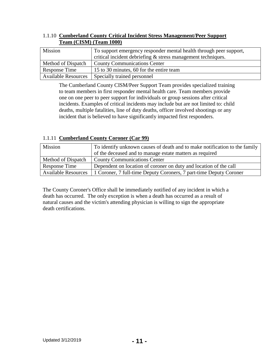| Team (CISNI) (Team Toon)   |                                                                    |
|----------------------------|--------------------------------------------------------------------|
| Mission                    | To support emergency responder mental health through peer support, |
|                            | critical incident debriefing $\&$ stress management techniques.    |
| Method of Dispatch         | <b>County Communications Center</b>                                |
| Response Time              | 15 to 30 minutes, 60 for the entire team                           |
| <b>Available Resources</b> | Specially trained personnel                                        |

## 1.1.10 **Cumberland County Critical Incident Stress Management/Peer Support Team (CISM) (Team 1000)**

The Cumberland County CISM/Peer Support Team provides specialized training to team members in first responder mental health care. Team members provide one on one peer to peer support for individuals or group sessions after critical incidents. Examples of critical incidents may include but are not limited to: child deaths, multiple fatalities, line of duty deaths, officer involved shootings or any incident that is believed to have significantly impacted first responders.

## 1.1.11 **Cumberland County Coroner (Car 99)**

| Mission                    | To identify unknown causes of death and to make notification to the family |
|----------------------------|----------------------------------------------------------------------------|
|                            | of the deceased and to manage estate matters as required                   |
| Method of Dispatch         | <b>County Communications Center</b>                                        |
| Response Time              | Dependent on location of coroner on duty and location of the call          |
| <b>Available Resources</b> | 1 Coroner, 7 full-time Deputy Coroners, 7 part-time Deputy Coroner         |

The County Coroner's Office shall be immediately notified of any incident in which a death has occurred. The only exception is when a death has occurred as a result of natural causes and the victim's attending physician is willing to sign the appropriate death certifications.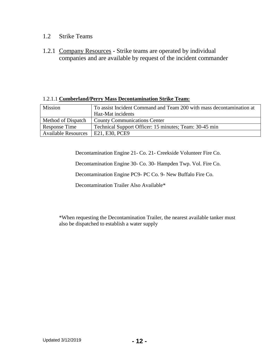## 1.2 Strike Teams

1.2.1 Company Resources - Strike teams are operated by individual companies and are available by request of the incident commander

## 1.2.1.1 **Cumberland/Perry Mass Decontamination Strike Team:**

| <b>Mission</b>             | To assist Incident Command and Team 200 with mass decontamination at<br>Haz-Mat incidents |  |
|----------------------------|-------------------------------------------------------------------------------------------|--|
| Method of Dispatch         | <b>County Communications Center</b>                                                       |  |
| Response Time              | Technical Support Officer: 15 minutes; Team: 30-45 min                                    |  |
| <b>Available Resources</b> | E21, E30, PCE9                                                                            |  |

Decontamination Engine 21- Co. 21- Creekside Volunteer Fire Co.

Decontamination Engine 30- Co. 30- Hampden Twp. Vol. Fire Co.

Decontamination Engine PC9- PC Co. 9- New Buffalo Fire Co.

Decontamination Trailer Also Available\*

\*When requesting the Decontamination Trailer, the nearest available tanker must also be dispatched to establish a water supply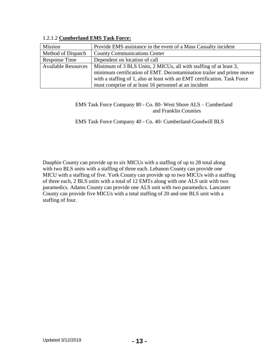| Mission                    | Provide EMS assistance in the event of a Mass Casualty incident           |
|----------------------------|---------------------------------------------------------------------------|
| Method of Dispatch         | <b>County Communications Center</b>                                       |
| Response Time              | Dependent on location of call                                             |
| <b>Available Resources</b> | Minimum of 3 BLS Units, 2 MICUs, all with staffing of at least 3,         |
|                            | minimum certification of EMT. Decontamination trailer and prime mover     |
|                            | with a staffing of 1, also at least with an EMT certification. Task Force |
|                            | must comprise of at least 16 personnel at an incident                     |

#### 1.2.1.2 **Cumberland EMS Task Force:**

EMS Task Force Company 80 - Co. 80- West Shore ALS – Cumberland and Franklin Counties

EMS Task Force Company 40 - Co. 40- Cumberland-Goodwill BLS

Dauphin County can provide up to six MICUs with a staffing of up to 28 total along with two BLS units with a staffing of three each. Lebanon County can provide one MICU with a staffing of five. York County can provide up to two MICUs with a staffing of three each, 2 BLS units with a total of 12 EMTs along with one ALS unit with two paramedics. Adams County can provide one ALS unit with two paramedics. Lancaster County can provide five MICUs with a total staffing of 20 and one BLS unit with a staffing of four.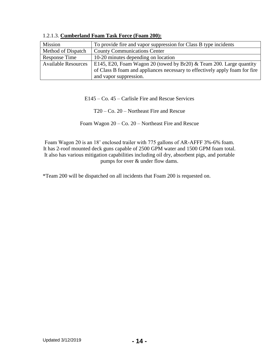| Mission                    | To provide fire and vapor suppression for Class B type incidents                                                                                   |
|----------------------------|----------------------------------------------------------------------------------------------------------------------------------------------------|
| Method of Dispatch         | <b>County Communications Center</b>                                                                                                                |
| Response Time              | 10-20 minutes depending on location                                                                                                                |
| <b>Available Resources</b> | E145, E20, Foam Wagon 20 (towed by Br20) & Team 200. Large quantity<br>of Class B foam and appliances necessary to effectively apply foam for fire |
|                            | and vapor suppression.                                                                                                                             |

1.2.1.3. **Cumberland Foam Task Force (Foam 200):**

E145 – Co. 45 – Carlisle Fire and Rescue Services

T20 – Co. 20 – Northeast Fire and Rescue

Foam Wagon 20 – Co. 20 – Northeast Fire and Rescue

Foam Wagon 20 is an 18' enclosed trailer with 775 gallons of AR-AFFF 3%-6% foam. It has 2-roof mounted deck guns capable of 2500 GPM water and 1500 GPM foam total. It also has various mitigation capabilities including oil dry, absorbent pigs, and portable pumps for over & under flow dams.

\*Team 200 will be dispatched on all incidents that Foam 200 is requested on.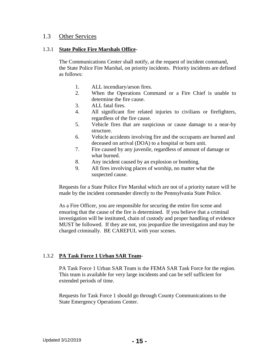## 1.3 Other Services

#### 1.3.1 **State Police Fire Marshals Office-**

The Communications Center shall notify, at the request of incident command, the State Police Fire Marshal, on priority incidents. Priority incidents are defined as follows:

- 1. ALL incendiary/arson fires.
- 2. When the Operations Command or a Fire Chief is unable to determine the fire cause.
- 3. ALL fatal fires.
- 4. All significant fire related injuries to civilians or firefighters, regardless of the fire cause.
- 5. Vehicle fires that are suspicious or cause damage to a near-by structure.
- 6. Vehicle accidents involving fire and the occupants are burned and deceased on arrival (DOA) to a hospital or burn unit.
- 7. Fire caused by any juvenile, regardless of amount of damage or what burned.
- 8. Any incident caused by an explosion or bombing.
- 9. All fires involving places of worship, no matter what the suspected cause.

Requests for a State Police Fire Marshal which are not of a priority nature will be made by the incident commander directly to the Pennsylvania State Police.

As a Fire Officer, you are responsible for securing the entire fire scene and ensuring that the cause of the fire is determined. If you believe that a criminal investigation will be instituted, chain of custody and proper handling of evidence MUST be followed. If they are not, you jeopardize the investigation and may be charged criminally. BE CAREFUL with your scenes.

## 1.3.2 **PA Task Force 1 Urban SAR Team-**

PA Task Force 1 Urban SAR Team is the FEMA SAR Task Force for the region. This team is available for very large incidents and can be self sufficient for extended periods of time.

Requests for Task Force 1 should go through County Communications to the State Emergency Operations Center.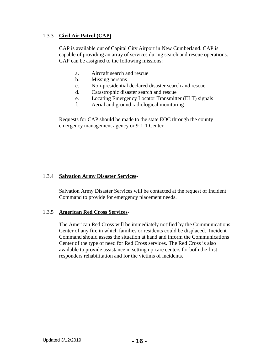## 1.3.3 **Civil Air Patrol (CAP)-**

CAP is available out of Capital City Airport in New Cumberland. CAP is capable of providing an array of services during search and rescue operations. CAP can be assigned to the following missions:

- a. Aircraft search and rescue
- b. Missing persons
- c. Non-presidential declared disaster search and rescue
- d. Catastrophic disaster search and rescue
- e. Locating Emergency Locator Transmitter (ELT) signals
- f. Aerial and ground radiological monitoring

Requests for CAP should be made to the state EOC through the county emergency management agency or 9-1-1 Center.

## 1.3.4 **Salvation Army Disaster Services-**

Salvation Army Disaster Services will be contacted at the request of Incident Command to provide for emergency placement needs.

#### 1.3.5 **American Red Cross Services-**

The American Red Cross will be immediately notified by the Communications Center of any fire in which families or residents could be displaced. Incident Command should assess the situation at hand and inform the Communications Center of the type of need for Red Cross services. The Red Cross is also available to provide assistance in setting up care centers for both the first responders rehabilitation and for the victims of incidents.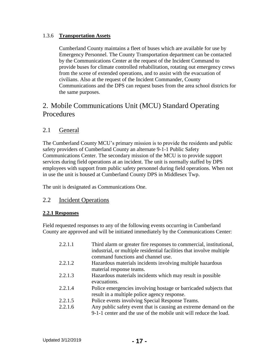## 1.3.6 **Transportation Assets**

Cumberland County maintains a fleet of buses which are available for use by Emergency Personnel. The County Transportation department can be contacted by the Communications Center at the request of the Incident Command to provide buses for climate controlled rehabilitation, rotating out emergency crews from the scene of extended operations, and to assist with the evacuation of civilians. Also at the request of the Incident Commander, County Communications and the DPS can request buses from the area school districts for the same purposes.

## 2. Mobile Communications Unit (MCU) Standard Operating **Procedures**

## 2.1 General

The Cumberland County MCU's primary mission is to provide the residents and public safety providers of Cumberland County an alternate 9-1-1 Public Safety Communications Center. The secondary mission of the MCU is to provide support services during field operations at an incident. The unit is normally staffed by DPS employees with support from public safety personnel during field operations. When not in use the unit is housed at Cumberland County DPS in Middlesex Twp.

The unit is designated as Communications One.

## 2.2 Incident Operations

## **2.2.1 Responses**

Field requested responses to any of the following events occurring in Cumberland County are approved and will be initiated immediately by the Communications Center:

| 2.2.1.1 | Third alarm or greater fire responses to commercial, institutional,<br>industrial, or multiple residential facilities that involve multiple<br>command functions and channel use. |
|---------|-----------------------------------------------------------------------------------------------------------------------------------------------------------------------------------|
| 2.2.1.2 | Hazardous materials incidents involving multiple hazardous                                                                                                                        |
|         | material response teams.                                                                                                                                                          |
| 2.2.1.3 | Hazardous materials incidents which may result in possible                                                                                                                        |
|         | evacuations.                                                                                                                                                                      |
| 2.2.1.4 | Police emergencies involving hostage or barricaded subjects that                                                                                                                  |
|         | result in a multiple police agency response.                                                                                                                                      |
| 2.2.1.5 | Police events involving Special Response Teams.                                                                                                                                   |
| 2.2.1.6 | Any public safety event that is causing an extreme demand on the                                                                                                                  |
|         | 9-1-1 center and the use of the mobile unit will reduce the load.                                                                                                                 |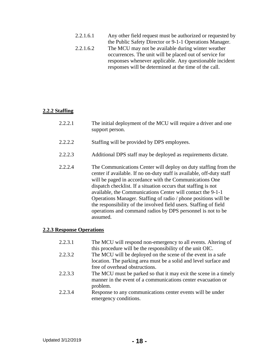| 2.2.1.6.1 | Any other field request must be authorized or requested by |
|-----------|------------------------------------------------------------|
|           | the Public Safety Director or 9-1-1 Operations Manager.    |
| 2.2.1.6.2 | The MCU may not be available during winter weather         |
|           | occurrences. The unit will be placed out of service for    |
|           | responses whenever applicable. Any questionable incident   |
|           | responses will be determined at the time of the call.      |

## **2.2.2 Staffing**

| 2.2.2.1 | The initial deployment of the MCU will require a driver and one<br>support person.                                                                                                                                                                                                                                                                                                                                                                                                                                                                      |
|---------|---------------------------------------------------------------------------------------------------------------------------------------------------------------------------------------------------------------------------------------------------------------------------------------------------------------------------------------------------------------------------------------------------------------------------------------------------------------------------------------------------------------------------------------------------------|
| 2.2.2.2 | Staffing will be provided by DPS employees.                                                                                                                                                                                                                                                                                                                                                                                                                                                                                                             |
| 2.2.2.3 | Additional DPS staff may be deployed as requirements dictate.                                                                                                                                                                                                                                                                                                                                                                                                                                                                                           |
| 2.2.2.4 | The Communications Center will deploy on duty staffing from the<br>center if available. If no on-duty staff is available, off-duty staff<br>will be paged in accordance with the Communications One<br>dispatch checklist. If a situation occurs that staffing is not<br>available, the Communications Center will contact the 9-1-1<br>Operations Manager. Staffing of radio / phone positions will be<br>the responsibility of the involved field users. Staffing of field<br>operations and command radios by DPS personnel is not to be<br>assumed. |

## **2.2.3 Response Operations**

| 2.2.3.1 | The MCU will respond non-emergency to all events. Altering of                                                                    |
|---------|----------------------------------------------------------------------------------------------------------------------------------|
| 2.2.3.2 | this procedure will be the responsibility of the unit OIC.                                                                       |
|         | The MCU will be deployed on the scene of the event in a safe<br>location. The parking area must be a solid and level surface and |
|         | free of overhead obstructions.                                                                                                   |
| 2.2.3.3 | The MCU must be parked so that it may exit the scene in a timely                                                                 |
|         | manner in the event of a communications center evacuation or                                                                     |
|         | problem.                                                                                                                         |
| 2.2.3.4 | Response to any communications center events will be under                                                                       |
|         | emergency conditions.                                                                                                            |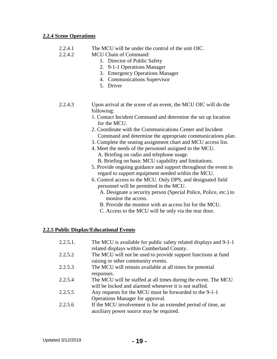#### **2.2.4 Scene Operations**

- 2.2.4.1 The MCU will be under the control of the unit OIC.
- 2.2.4.2 MCU Chain of Command:
	- 1. Director of Public Safety
	- 2. 9-1-1 Operations Manager
	- 3. Emergency Operations Manager
	- 4. Communications Supervisor
	- 5. Driver
- 2.2.4.3 Upon arrival at the scene of an event, the MCU OIC will do the following:
	- 1. Contact Incident Command and determine the set up location for the MCU.
	- 2. Coordinate with the Communications Center and Incident Command and determine the appropriate communications plan.
	- 3. Complete the seating assignment chart and MCU access list.
	- 4. Meet the needs of the personnel assigned to the MCU. A. Briefing on radio and telephone usage.
		- B. Briefing on basic MCU capability and limitations.
	- 5. Provide ongoing guidance and support throughout the event in regard to support equipment needed within the MCU.
	- 6. Control access to the MCU. Only DPS, and designated field personnel will be permitted in the MCU.
		- A. Designate a security person (Special Police, Police, etc.) to monitor the access.
		- B. Provide the monitor with an access list for the MCU.
		- C. Access to the MCU will be only via the rear door.

## **2.2.5 Public Display/Educational Events**

| 2.2.5.1. | The MCU is available for public safety related displays and 9-1-1<br>related displays within Cumberland County.          |
|----------|--------------------------------------------------------------------------------------------------------------------------|
| 2.2.5.2  | The MCU will not be used to provide support functions at fund<br>raising or other community events.                      |
| 2.2.5.3  | The MCU will remain available at all times for potential<br>responses.                                                   |
| 2.2.5.4  | The MCU will be staffed at all times during the event. The MCU<br>will be locked and alarmed whenever it is not staffed. |
| 2.2.5.5  | Any requests for the MCU must be forwarded to the 9-1-1<br>Operations Manager for approval.                              |
| 2.2.5.6  | If the MCU involvement is for an extended period of time, an<br>auxiliary power source may be required.                  |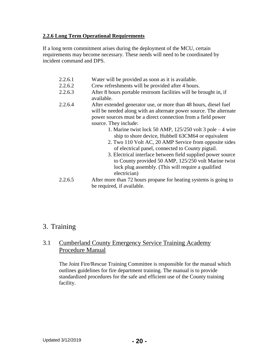## **2.2.6 Long Term Operational Requirements**

If a long term commitment arises during the deployment of the MCU, certain requirements may become necessary. These needs will need to be coordinated by incident command and DPS.

| 2.2.6.1 | Water will be provided as soon as it is available.                                                                                     |  |  |  |
|---------|----------------------------------------------------------------------------------------------------------------------------------------|--|--|--|
| 2.2.6.2 | Crew refreshments will be provided after 4 hours.                                                                                      |  |  |  |
| 2.2.6.3 | After 8 hours portable restroom facilities will be brought in, if<br>available.                                                        |  |  |  |
| 2.2.6.4 | After extended generator use, or more than 48 hours, diesel fuel<br>will be needed along with an alternate power source. The alternate |  |  |  |
|         | power sources must be a direct connection from a field power                                                                           |  |  |  |
|         | source. They include:                                                                                                                  |  |  |  |
|         | 1. Marine twist lock 50 AMP, $125/250$ volt 3 pole $-4$ wire                                                                           |  |  |  |
|         | ship to shore device, Hubbell 63CM64 or equivalent                                                                                     |  |  |  |
|         | 2. Two 110 Volt AC, 20 AMP Service from opposite sides                                                                                 |  |  |  |
|         | of electrical panel, connected to County pigtail.                                                                                      |  |  |  |
|         | 3. Electrical interface between field supplied power source                                                                            |  |  |  |
|         | to County provided 50 AMP, 125/250 volt Marine twist                                                                                   |  |  |  |
|         | lock plug assembly. (This will require a qualified                                                                                     |  |  |  |
|         | electrician)                                                                                                                           |  |  |  |
| 2.2.6.5 | After more than 72 hours propane for heating systems is going to                                                                       |  |  |  |
|         | be required, if available.                                                                                                             |  |  |  |

## 3. Training

## 3.1 Cumberland County Emergency Service Training Academy Procedure Manual

The Joint Fire/Rescue Training Committee is responsible for the manual which outlines guidelines for fire department training. The manual is to provide standardized procedures for the safe and efficient use of the County training facility.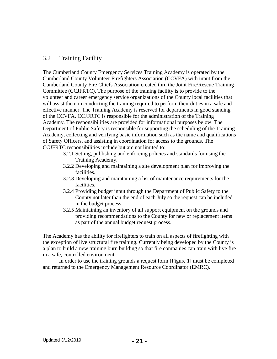## 3.2 Training Facility

The Cumberland County Emergency Services Training Academy is operated by the Cumberland County Volunteer Firefighters Association (CCVFA) with input from the Cumberland County Fire Chiefs Association created thru the Joint Fire/Rescue Training Committee (CCJFRTC). The purpose of the training facility is to provide to the volunteer and career emergency service organizations of the County local facilities that will assist them in conducting the training required to perform their duties in a safe and effective manner. The Training Academy is reserved for departments in good standing of the CCVFA. CCJFRTC is responsible for the administration of the Training Academy. The responsibilities are provided for informational purposes below. The Department of Public Safety is responsible for supporting the scheduling of the Training Academy, collecting and verifying basic information such as the name and qualifications of Safety Officers, and assisting in coordination for access to the grounds. The CCJFRTC responsibilities include but are not limited to:

- 3.2.1 Setting, publishing and enforcing policies and standards for using the Training Academy.
- 3.2.2 Developing and maintaining a site development plan for improving the facilities.
- 3.2.3 Developing and maintaining a list of maintenance requirements for the facilities.
- 3.2.4 Providing budget input through the Department of Public Safety to the County not later than the end of each July so the request can be included in the budget process.
- 3.2.5 Maintaining an inventory of all support equipment on the grounds and providing recommendations to the County for new or replacement items as part of the annual budget request process.

The Academy has the ability for firefighters to train on all aspects of firefighting with the exception of live structural fire training. Currently being developed by the County is a plan to build a new training burn building so that fire companies can train with live fire in a safe, controlled environment.

In order to use the training grounds a request form [Figure 1] must be completed and returned to the Emergency Management Resource Coordinator (EMRC).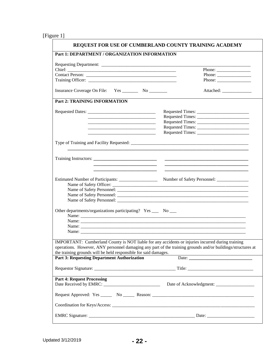[Figure 1]

|                                                                                                                                                                                                                                                                                     | REQUEST FOR USE OF CUMBERLAND COUNTY TRAINING ACADEMY                                                                                                                                                                                                                                                                                                                                                        |  |  |  |
|-------------------------------------------------------------------------------------------------------------------------------------------------------------------------------------------------------------------------------------------------------------------------------------|--------------------------------------------------------------------------------------------------------------------------------------------------------------------------------------------------------------------------------------------------------------------------------------------------------------------------------------------------------------------------------------------------------------|--|--|--|
| Part 1: DEPARTMENT / ORGANIZATION INFORMATION                                                                                                                                                                                                                                       |                                                                                                                                                                                                                                                                                                                                                                                                              |  |  |  |
|                                                                                                                                                                                                                                                                                     | Phone: $\frac{1}{\sqrt{1-\frac{1}{2}} \cdot \frac{1}{2}}$                                                                                                                                                                                                                                                                                                                                                    |  |  |  |
|                                                                                                                                                                                                                                                                                     |                                                                                                                                                                                                                                                                                                                                                                                                              |  |  |  |
|                                                                                                                                                                                                                                                                                     | Phone: $\frac{1}{\sqrt{1-\frac{1}{2}}\sqrt{1-\frac{1}{2}}\sqrt{1-\frac{1}{2}}\sqrt{1-\frac{1}{2}}\sqrt{1-\frac{1}{2}}\sqrt{1-\frac{1}{2}}\sqrt{1-\frac{1}{2}}\sqrt{1-\frac{1}{2}}\sqrt{1-\frac{1}{2}}\sqrt{1-\frac{1}{2}}\sqrt{1-\frac{1}{2}}\sqrt{1-\frac{1}{2}}\sqrt{1-\frac{1}{2}}\sqrt{1-\frac{1}{2}}\sqrt{1-\frac{1}{2}}\sqrt{1-\frac{1}{2}}\sqrt{1-\frac{1}{2}}\sqrt{1-\frac{1}{2}}\sqrt{1-\frac{1}{2$ |  |  |  |
|                                                                                                                                                                                                                                                                                     |                                                                                                                                                                                                                                                                                                                                                                                                              |  |  |  |
| Insurance Coverage On File: Yes __________ No _________                                                                                                                                                                                                                             |                                                                                                                                                                                                                                                                                                                                                                                                              |  |  |  |
| <b>Part 2: TRAINING INFORMATION</b>                                                                                                                                                                                                                                                 |                                                                                                                                                                                                                                                                                                                                                                                                              |  |  |  |
|                                                                                                                                                                                                                                                                                     |                                                                                                                                                                                                                                                                                                                                                                                                              |  |  |  |
|                                                                                                                                                                                                                                                                                     |                                                                                                                                                                                                                                                                                                                                                                                                              |  |  |  |
| <u> 1989 - Johann Barbara, martin amerikan basar dan berasal dalam basa dalam basar dalam basar dalam basa dalam</u>                                                                                                                                                                |                                                                                                                                                                                                                                                                                                                                                                                                              |  |  |  |
|                                                                                                                                                                                                                                                                                     |                                                                                                                                                                                                                                                                                                                                                                                                              |  |  |  |
|                                                                                                                                                                                                                                                                                     |                                                                                                                                                                                                                                                                                                                                                                                                              |  |  |  |
|                                                                                                                                                                                                                                                                                     |                                                                                                                                                                                                                                                                                                                                                                                                              |  |  |  |
|                                                                                                                                                                                                                                                                                     |                                                                                                                                                                                                                                                                                                                                                                                                              |  |  |  |
|                                                                                                                                                                                                                                                                                     |                                                                                                                                                                                                                                                                                                                                                                                                              |  |  |  |
|                                                                                                                                                                                                                                                                                     |                                                                                                                                                                                                                                                                                                                                                                                                              |  |  |  |
|                                                                                                                                                                                                                                                                                     |                                                                                                                                                                                                                                                                                                                                                                                                              |  |  |  |
|                                                                                                                                                                                                                                                                                     |                                                                                                                                                                                                                                                                                                                                                                                                              |  |  |  |
|                                                                                                                                                                                                                                                                                     |                                                                                                                                                                                                                                                                                                                                                                                                              |  |  |  |
|                                                                                                                                                                                                                                                                                     |                                                                                                                                                                                                                                                                                                                                                                                                              |  |  |  |
|                                                                                                                                                                                                                                                                                     | Other departments/organizations participating? Yes ___ No ___                                                                                                                                                                                                                                                                                                                                                |  |  |  |
|                                                                                                                                                                                                                                                                                     |                                                                                                                                                                                                                                                                                                                                                                                                              |  |  |  |
|                                                                                                                                                                                                                                                                                     |                                                                                                                                                                                                                                                                                                                                                                                                              |  |  |  |
|                                                                                                                                                                                                                                                                                     |                                                                                                                                                                                                                                                                                                                                                                                                              |  |  |  |
| IMPORTANT: Cumberland County is NOT liable for any accidents or injuries incurred during training<br>operations. However, ANY personnel damaging any part of the training grounds and/or buildings/structures at<br>the training grounds will be held responsible for said damages. |                                                                                                                                                                                                                                                                                                                                                                                                              |  |  |  |
| <b>Part 3: Requesting Department Authorization</b>                                                                                                                                                                                                                                  | Date: $\frac{1}{2}$                                                                                                                                                                                                                                                                                                                                                                                          |  |  |  |
|                                                                                                                                                                                                                                                                                     |                                                                                                                                                                                                                                                                                                                                                                                                              |  |  |  |
| <b>Part 4: Request Processing</b>                                                                                                                                                                                                                                                   |                                                                                                                                                                                                                                                                                                                                                                                                              |  |  |  |
|                                                                                                                                                                                                                                                                                     |                                                                                                                                                                                                                                                                                                                                                                                                              |  |  |  |
|                                                                                                                                                                                                                                                                                     |                                                                                                                                                                                                                                                                                                                                                                                                              |  |  |  |
|                                                                                                                                                                                                                                                                                     |                                                                                                                                                                                                                                                                                                                                                                                                              |  |  |  |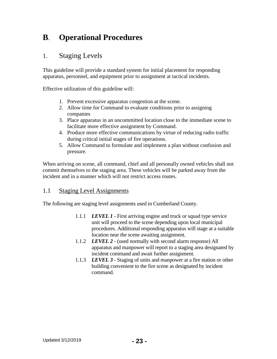## **B**. **Operational Procedures**

## 1. Staging Levels

This guideline will provide a standard system for initial placement for responding apparatus, personnel, and equipment prior to assignment at tactical incidents.

Effective utilization of this guideline will:

- 1. Prevent excessive apparatus congestion at the scene.
- 2. Allow time for Command to evaluate conditions prior to assigning companies
- 3. Place apparatus in an uncommitted location close to the immediate scene to facilitate more effective assignment by Command.
- 4. Produce more effective communications by virtue of reducing radio traffic during critical initial stages of fire operations.
- 5. Allow Command to formulate and implement a plan without confusion and pressure.

When arriving on scene, all command, chief and all personally owned vehicles shall not commit themselves to the staging area. These vehicles will be parked away from the incident and in a manner which will not restrict access routes.

## 1.1 Staging Level Assignments

The following are staging level assignments used in Cumberland County.

- 1.1.1 *LEVEL 1* First arriving engine and truck or squad type service unit will proceed to the scene depending upon local municipal procedures. Additional responding apparatus will stage at a suitable location near the scene awaiting assignment.
- 1.1.2 *LEVEL 2*  (used normally with second alarm response) All apparatus and manpower will report to a staging area designated by incident command and await further assignment.
- 1.1.3 *LEVEL 3*  Staging of units and manpower at a fire station or other building convenient to the fire scene as designated by incident command.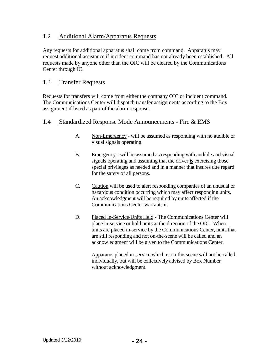## 1.2 Additional Alarm/Apparatus Requests

Any requests for additional apparatus shall come from command. Apparatus may request additional assistance if incident command has not already been established. All requests made by anyone other than the OIC will be cleared by the Communications Center through IC.

## 1.3 Transfer Requests

Requests for transfers will come from either the company OIC or incident command. The Communications Center will dispatch transfer assignments according to the Box assignment if listed as part of the alarm response.

## 1.4 Standardized Response Mode Announcements - Fire & EMS

- A. Non-Emergency will be assumed as responding with no audible or visual signals operating.
- B. Emergency will be assumed as responding with audible and visual signals operating and assuming that the driver *is* exercising those special privileges as needed and in a manner that insures due regard for the safety of all persons.
- C. Caution will be used to alert responding companies of an unusual or hazardous condition occurring which may affect responding units. An acknowledgment will be required by units affected if the Communications Center warrants it.
- D. Placed In-Service/Units Held The Communications Center will place in-service or hold units at the direction of the OIC. When units are placed in-service by the Communications Center, units that are still responding and not on-the-scene will be called and an acknowledgment will be given to the Communications Center.

Apparatus placed in-service which is on-the-scene will not be called individually, but will be collectively advised by Box Number without acknowledgment.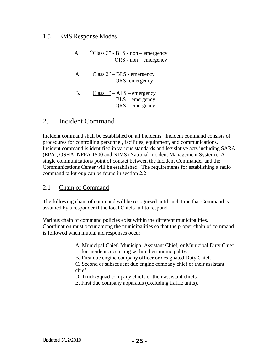## 1.5 EMS Response Modes

- A. "Class 3" BLS non emergency QRS - non – emergency
- A. "Class 2" BLS emergency QRS- emergency
- B. "Class  $1"$  ALS emergency BLS – emergency QRS – emergency

## 2. Incident Command

Incident command shall be established on all incidents. Incident command consists of procedures for controlling personnel, facilities, equipment, and communications. Incident command is identified in various standards and legislative acts including SARA (EPA), OSHA, NFPA 1500 and NIMS (National Incident Management System). A single communications point of contact between the Incident Commander and the Communications Center will be established. The requirements for establishing a radio command talkgroup can be found in section 2.2

## 2.1 Chain of Command

The following chain of command will be recognized until such time that Command is assumed by a responder if the local Chiefs fail to respond.

Various chain of command policies exist within the different municipalities. Coordination must occur among the municipalities so that the proper chain of command is followed when mutual aid responses occur.

- A. Municipal Chief, Municipal Assistant Chief, or Municipal Duty Chief for incidents occurring within their municipality.
- B. First due engine company officer or designated Duty Chief.
- C. Second or subsequent due engine company chief or their assistant chief
- D. Truck/Squad company chiefs or their assistant chiefs.
- E. First due company apparatus (excluding traffic units).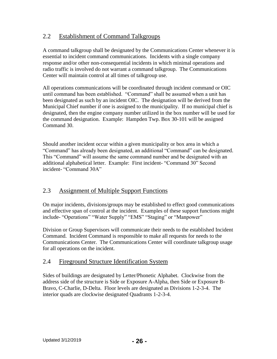## 2.2 Establishment of Command Talkgroups

A command talkgroup shall be designated by the Communications Center whenever it is essential to incident command communications. Incidents with a single company response and/or other non-consequential incidents in which minimal operations and radio traffic is involved do not warrant a command talkgroup. The Communications Center will maintain control at all times of talkgroup use.

All operations communications will be coordinated through incident command or OIC until command has been established. "Command" shall be assumed when a unit has been designated as such by an incident OIC. The designation will be derived from the Municipal Chief number if one is assigned to the municipality. If no municipal chief is designated, then the engine company number utilized in the box number will be used for the command designation. Example: Hampden Twp. Box 30-101 will be assigned Command 30.

Should another incident occur within a given municipality or box area in which a "Command" has already been designated, an additional "Command" can be designated. This "Command" will assume the same command number and be designated with an additional alphabetical letter. Example: First incident- "Command 30" Second incident- "Command 30A"

## 2.3 Assignment of Multiple Support Functions

On major incidents, divisions/groups may be established to effect good communications and effective span of control at the incident. Examples of these support functions might include- "Operations" "Water Supply" "EMS" "Staging" or "Manpower"

Division or Group Supervisors will communicate their needs to the established Incident Command. Incident Command is responsible to make all requests for needs to the Communications Center. The Communications Center will coordinate talkgroup usage for all operations on the incident.

## 2.4 Fireground Structure Identification System

Sides of buildings are designated by Letter/Phonetic Alphabet. Clockwise from the address side of the structure is Side or Exposure A-Alpha, then Side or Exposure B-Bravo, C-Charlie, D-Delta. Floor levels are designated as Divisions 1-2-3-4. The interior quads are clockwise designated Quadrants 1-2-3-4.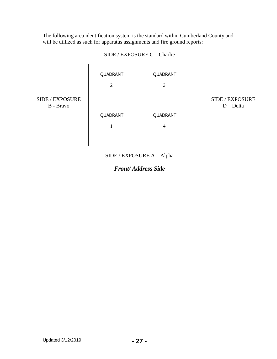The following area identification system is the standard within Cumberland County and will be utilized as such for apparatus assignments and fire ground reports:

|                 | QUADRANT      | QUADRANT      |
|-----------------|---------------|---------------|
| SIDE / EXPOSURE | 2             | 3             |
| B - Bravo       | QUADRANT<br>1 | QUADRANT<br>4 |
|                 |               |               |

SIDE / EXPOSURE C – Charlie

SIDE / EXPOSURE D – Delta

SIDE / EXPOSURE A – Alpha

*Front/ Address Side*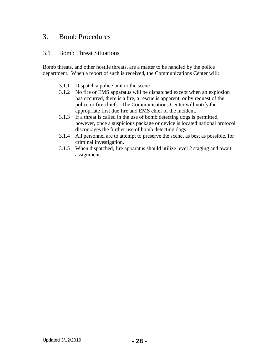## 3. Bomb Procedures

## 3.1 Bomb Threat Situations

Bomb threats, and other hostile threats, are a matter to be handled by the police department. When a report of such is received, the Communications Center will:

- 3.1.1 Dispatch a police unit to the scene
- 3.1.2 No fire or EMS apparatus will be dispatched except when an explosion has occurred, there is a fire, a rescue is apparent, or by request of the police or fire chiefs. The Communications Center will notify the appropriate first due fire and EMS chief of the incident.
- 3.1.3 If a threat is called in the use of bomb detecting dogs is permitted, however, once a suspicious package or device is located national protocol discourages the further use of bomb detecting dogs.
- 3.1.4 All personnel are to attempt to preserve the scene, as best as possible, for criminal investigation.
- 3.1.5 When dispatched, fire apparatus should utilize level 2 staging and await assignment.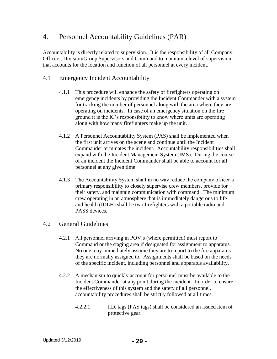## 4. Personnel Accountability Guidelines (PAR)

Accountability is directly related to supervision. It is the responsibility of all Company Officers, Division/Group Supervisors and Command to maintain a level of supervision that accounts for the location and function of all personnel at every incident.

## 4.1 Emergency Incident Accountability

- 4.1.1 This procedure will enhance the safety of firefighters operating on emergency incidents by providing the Incident Commander with a system for tracking the number of personnel along with the area where they are operating on incidents. In case of an emergency situation on the fire ground it is the IC's responsibility to know where units are operating along with how many firefighters make up the unit.
- 4.1.2 A Personnel Accountability System (PAS) shall be implemented when the first unit arrives on the scene and continue until the Incident Commander terminates the incident. Accountability responsibilities shall expand with the Incident Management System (IMS). During the course of an incident the Incident Commander shall be able to account for all personnel at any given time.
- 4.1.3 The Accountability System shall in no way reduce the company officer's primary responsibility to closely supervise crew members, provide for their safety, and maintain communication with command. The minimum crew operating in an atmosphere that is immediately dangerous to life and health (IDLH) shall be two firefighters with a portable radio and PASS devices.

## 4.2 General Guidelines

- 4.2.1 All personnel arriving in POV's (where permitted) must report to Command or the staging area if designated for assignment to apparatus. No one may immediately assume they are to report to the fire apparatus they are normally assigned to. Assignments shall be based on the needs of the specific incident, including personnel and apparatus availability.
- 4.2.2 A mechanism to quickly account for personnel must be available to the Incident Commander at any point during the incident. In order to ensure the effectiveness of this system and the safety of all personnel, accountability procedures shall be strictly followed at all times.
	- 4.2.2.1 I.D. tags (PAS tags) shall be considered an issued item of protective gear.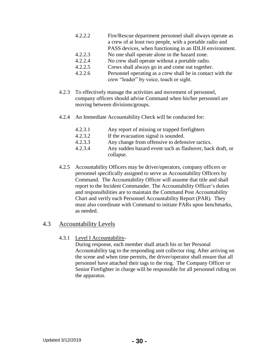- 4.2.2.2 Fire/Rescue department personnel shall always operate as a crew of at least two people, with a portable radio and PASS devices, when functioning in an IDLH environment.
- 4.2.2.3 No one shall operate alone in the hazard zone.
- 4.2.2.4 No crew shall operate without a portable radio.
- 4.2.2.5 Crews shall always go in and come out together.
- 4.2.2.6 Personnel operating as a crew shall be in contact with the crew "leader" by voice, touch or sight.
- 4.2.3 To effectively manage the activities and movement of personnel, company officers should advise Command when his/her personnel are moving between divisions/groups.
- 4.2.4 An Immediate Accountability Check will be conducted for:
	- 4.2.3.1 Any report of missing or trapped firefighters
	- 4.2.3.2 If the evacuation signal is sounded.
	- 4.2.3.3 Any change from offensive to defensive tactics.
	- 4.2.3.4 Any sudden hazard event such as flashover, back draft, or collapse.
- 4.2.5 Accountability Officers may be driver/operators, company officers or personnel specifically assigned to serve as Accountability Officers by Command. The Accountability Officer will assume that title and shall report to the Incident Commander. The Accountability Officer's duties and responsibilities are to maintain the Command Post Accountability Chart and verify each Personnel Accountability Report (PAR). They must also coordinate with Command to initiate PARs upon benchmarks, as needed.

## 4.3 Accountability Levels

4.3.1 Level I Accountability-

During response, each member shall attach his or her Personal Accountability tag to the responding unit collector ring. After arriving on the scene and when time permits, the driver/operator shall ensure that all personnel have attached their tags to the ring. The Company Officer or Senior Firefighter in charge will be responsible for all personnel riding on the apparatus.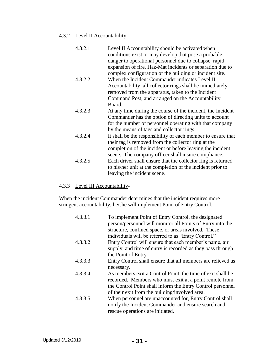#### 4.3.2 Level II Accountability-

- 4.3.2.1 Level II Accountability should be activated when conditions exist or may develop that pose a probable danger to operational personnel due to collapse, rapid expansion of fire, Haz-Mat incidents or separation due to complex configuration of the building or incident site.
- 4.3.2.2 When the Incident Commander indicates Level II Accountability, all collector rings shall be immediately removed from the apparatus, taken to the Incident Command Post, and arranged on the Accountability Board.
- 4.3.2.3 At any time during the course of the incident, the Incident Commander has the option of directing units to account for the number of personnel operating with that company by the means of tags and collector rings.
- 4.3.2.4 It shall be the responsibility of each member to ensure that their tag is removed from the collector ring at the completion of the incident or before leaving the incident scene. The company officer shall insure compliance.
	- 4.3.2.5 Each driver shall ensure that the collector ring is returned to his/her unit at the completion of the incident prior to leaving the incident scene.

## 4.3.3 Level III Accountability-

When the incident Commander determines that the incident requires more stringent accountability, he/she will implement Point of Entry Control.

4.3.3.1 To implement Point of Entry Control, the designated person/personnel will monitor all Points of Entry into the structure, confined space, or areas involved. These individuals will be referred to as "Entry Control." 4.3.3.2 Entry Control will ensure that each member's name, air supply, and time of entry is recorded as they pass through the Point of Entry. 4.3.3.3 Entry Control shall ensure that all members are relieved as necessary. 4.3.3.4 As members exit a Control Point, the time of exit shall be recorded. Members who must exit at a point remote from the Control Point shall inform the Entry Control personnel of their exit from the building/involved area. 4.3.3.5 When personnel are unaccounted for, Entry Control shall notify the Incident Commander and ensure search and rescue operations are initiated.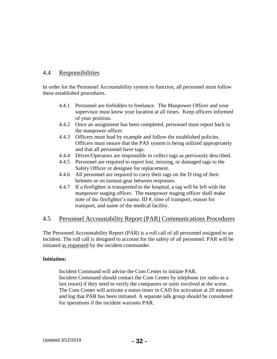## 4.4 Responsibilities

In order for the Personnel Accountability system to function, all personnel must follow these established procedures.

- 4.4.1 Personnel are forbidden to freelance. The Manpower Officer and your supervisor must know your location at all times. Keep officers informed of your position.
- 4.4.2 Once an assignment has been completed, personnel must report back to the manpower officer.
- 4.4.3 Officers must lead by example and follow the established policies. Officers must ensure that the PAS system is being utilized appropriately and that all personnel have tags.
- 4.4.4 Driver/Operators are responsible to collect tags as previously described.
- 4.4.5 Personnel are required to report lost, missing, or damaged tags to the Safety Officer or designee for replacement.
- 4.4.6 All personnel are required to carry their tags on the D ring of their helmets or on turnout gear between responses.
- 4.4.7 If a firefighter is transported to the hospital, a tag will be left with the manpower staging officer. The manpower staging officer shall make note of the firefighter's name, ID #, time of transport, reason for transport, and name of the medical facility.

## 4.5 Personnel Accountability Report (PAR) Communications Procedures

The Personnel Accountability Report (PAR) is a roll call of all personnel assigned to an incident. The roll call is designed to account for the safety of all personnel. PAR will be initiated as requested by the incident commander.

## **Initiation:**

Incident Command will advise the Com Center to initiate PAR. Incident Command should contact the Com Center by telephone (or radio as a last resort) if they need to verify the companies or units involved at the scene. The Com Center will activate a status timer in CAD for activation at 20 minutes and log that PAR has been initiated. A separate talk group should be considered for operations if the incident warrants PAR.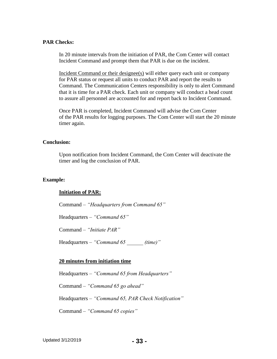#### **PAR Checks:**

In 20 minute intervals from the initiation of PAR, the Com Center will contact Incident Command and prompt them that PAR is due on the incident.

Incident Command or their designee(s) will either query each unit or company for PAR status or request all units to conduct PAR and report the results to Command. The Communication Centers responsibility is only to alert Command that it is time for a PAR check. Each unit or company will conduct a head count to assure all personnel are accounted for and report back to Incident Command.

Once PAR is completed, Incident Command will advise the Com Center of the PAR results for logging purposes. The Com Center will start the 20 minute timer again.

#### **Conclusion:**

Upon notification from Incident Command, the Com Center will deactivate the timer and log the conclusion of PAR.

#### **Example:**

#### **Initiation of PAR:**

Command – *"Headquarters from Command 65"*

Headquarters – *"Command 65"*

Command – *"Initiate PAR"*

Headquarters – *"Command 65 \_\_\_\_\_\_ (time)"*

#### **20 minutes from initiation time**

Headquarters – *"Command 65 from Headquarters"*

Command – *"Command 65 go ahead"*

Headquarters – *"Command 65, PAR Check Notification"*

Command – *"Command 65 copies"*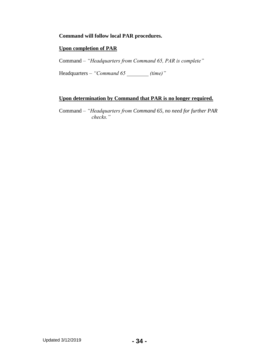## **Command will follow local PAR procedures.**

## **Upon completion of PAR**

Command – *"Headquarters from Command 65, PAR is complete"*

Headquarters – *"Command 65 \_\_\_\_\_\_\_\_ (time)"*

## **Upon determination by Command that PAR is no longer required.**

Command – *"Headquarters from Command 65, no need for further PAR checks."*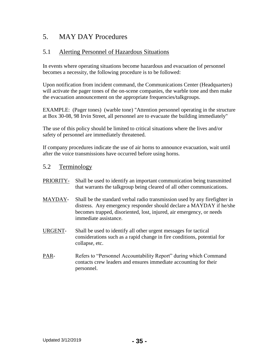## 5. MAY DAY Procedures

## 5.1 Alerting Personnel of Hazardous Situations

In events where operating situations become hazardous and evacuation of personnel becomes a necessity, the following procedure is to be followed:

Upon notification from incident command, the Communications Center (Headquarters) will activate the pager tones of the on-scene companies, the warble tone and then make the evacuation announcement on the appropriate frequencies/talkgroups.

EXAMPLE: (Pager tones) (warble tone) "Attention personnel operating in the structure at Box 30-08, 98 Irvin Street, all personnel are to evacuate the building immediately"

The use of this policy should be limited to critical situations where the lives and/or safety of personnel are immediately threatened.

If company procedures indicate the use of air horns to announce evacuation, wait until after the voice transmissions have occurred before using horns.

## 5.2 Terminology

- PRIORITY- Shall be used to identify an important communication being transmitted that warrants the talkgroup being cleared of all other communications.
- MAYDAY- Shall be the standard verbal radio transmission used by any firefighter in distress. Any emergency responder should declare a MAYDAY if he/she becomes trapped, disoriented, lost, injured, air emergency, or needs immediate assistance.
- URGENT- Shall be used to identify all other urgent messages for tactical considerations such as a rapid change in fire conditions, potential for collapse, etc.
- PAR- Refers to "Personnel Accountability Report" during which Command contacts crew leaders and ensures immediate accounting for their personnel.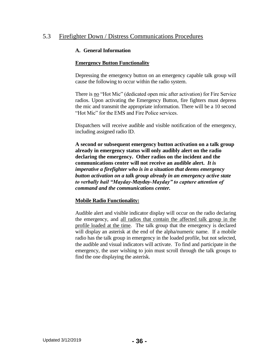## 5.3 Firefighter Down / Distress Communications Procedures

#### **A. General Information**

## **Emergency Button Functionality**

Depressing the emergency button on an emergency capable talk group will cause the following to occur within the radio system.

There is no "Hot Mic" (dedicated open mic after activation) for Fire Service radios. Upon activating the Emergency Button, fire fighters must depress the mic and transmit the appropriate information. There will be a 10 second "Hot Mic" for the EMS and Fire Police services.

Dispatchers will receive audible and visible notification of the emergency, including assigned radio ID.

**A second or subsequent emergency button activation on a talk group already in emergency status will only audibly alert on the radio declaring the emergency. Other radios on the incident and the communications center will not receive an audible alert.** *It is imperative a firefighter who is in a situation that deems emergency button activation on a talk group already in an emergency active state to verbally hail "Mayday-Mayday-Mayday" to capture attention of command and the communications center.* 

#### **Mobile Radio Functionality:**

Audible alert and visible indicator display will occur on the radio declaring the emergency, and all radios that contain the affected talk group in the profile loaded at the time. The talk group that the emergency is declared will display an asterisk at the end of the alpha/numeric name. If a mobile radio has the talk group in emergency in the loaded profile, but not selected, the audible and visual indicators will activate. To find and participate in the emergency, the user wishing to join must scroll through the talk groups to find the one displaying the asterisk.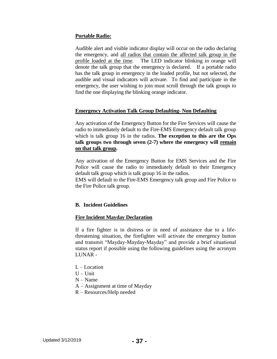## **Portable Radio:**

Audible alert and visible indicator display will occur on the radio declaring the emergency, and all radios that contain the affected talk group in the profile loaded at the time. The LED indicator blinking in orange will denote the talk group that the emergency is declared. If a portable radio has the talk group in emergency in the loaded profile, but not selected, the audible and visual indicators will activate. To find and participate in the emergency, the user wishing to join must scroll through the talk groups to find the one displaying the blinking orange indicator.

#### **Emergency Activation Talk Group Defaulting- Non Defaulting**

Any activation of the Emergency Button for the Fire Services will cause the radio to immediately default to the Fire-EMS Emergency default talk group which is talk group 16 in the radios. **The exception to this are the Ops talk groups two through seven (2-7) where the emergency will remain on that talk group.**

Any activation of the Emergency Button for EMS Services and the Fire Police will cause the radio to immediately default to their Emergency default talk group which is talk group 16 in the radios.

EMS will default to the Fire-EMS Emergency talk group and Fire Police to the Fire Police talk group.

#### **B. Incident Guidelines**

#### **Fire Incident Mayday Declaration**

If a fire fighter is in distress or in need of assistance due to a lifethreatening situation, the firefighter will activate the emergency button and transmit "Mayday-Mayday-Mayday" and provide a brief situational status report if possible using the following guidelines using the acronym LUNAR -

- $L L$  ocation
- $U -$ Unit
- $N Name$
- A Assignment at time of Mayday
- R Resources/Help needed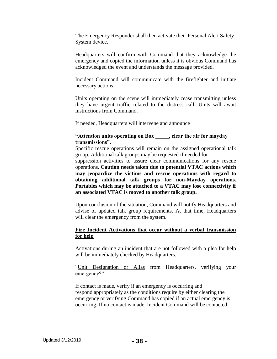The Emergency Responder shall then activate their Personal Alert Safety System device.

Headquarters will confirm with Command that they acknowledge the emergency and copied the information unless it is obvious Command has acknowledged the event and understands the message provided.

Incident Command will communicate with the firefighter and initiate necessary actions.

Units operating on the scene will immediately cease transmitting unless they have urgent traffic related to the distress call. Units will await instructions from Command.

If needed, Headquarters will intervene and announce

## **"Attention units operating on Box \_\_\_\_\_, clear the air for mayday transmissions".**

Specific rescue operations will remain on the assigned operational talk group. Additional talk groups may be requested if needed for

suppression activities to assure clear communications for any rescue operations. **Caution needs taken due to potential VTAC actions which may jeopardize the victims and rescue operations with regard to obtaining additional talk groups for non-Mayday operations. Portables which may be attached to a VTAC may lose connectivity if an associated VTAC is moved to another talk group.**

Upon conclusion of the situation, Command will notify Headquarters and advise of updated talk group requirements. At that time, Headquarters will clear the emergency from the system.

## **Fire Incident Activations that occur without a verbal transmission for help**

Activations during an incident that are not followed with a plea for help will be immediately checked by Headquarters.

"Unit Designation or Alias from Headquarters, verifying your emergency?"

If contact is made, verify if an emergency is occurring and respond appropriately as the conditions require by either clearing the emergency or verifying Command has copied if an actual emergency is occurring. If no contact is made, Incident Command will be contacted.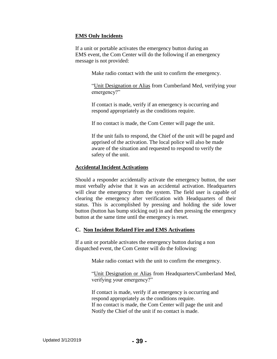## **EMS Only Incidents**

If a unit or portable activates the emergency button during an EMS event, the Com Center will do the following if an emergency message is not provided:

Make radio contact with the unit to confirm the emergency.

"Unit Designation or Alias from Cumberland Med, verifying your emergency?"

If contact is made, verify if an emergency is occurring and respond appropriately as the conditions require.

If no contact is made, the Com Center will page the unit.

If the unit fails to respond, the Chief of the unit will be paged and apprised of the activation. The local police will also be made aware of the situation and requested to respond to verify the safety of the unit.

#### **Accidental Incident Activations**

Should a responder accidentally activate the emergency button, the user must verbally advise that it was an accidental activation. Headquarters will clear the emergency from the system. The field user is capable of clearing the emergency after verification with Headquarters of their status. This is accomplished by pressing and holding the side lower button (button has bump sticking out) in and then pressing the emergency button at the same time until the emergency is reset.

## **C. Non Incident Related Fire and EMS Activations**

If a unit or portable activates the emergency button during a non dispatched event, the Com Center will do the following:

Make radio contact with the unit to confirm the emergency.

"Unit Designation or Alias from Headquarters/Cumberland Med, verifying your emergency?"

If contact is made, verify if an emergency is occurring and respond appropriately as the conditions require. If no contact is made, the Com Center will page the unit and Notify the Chief of the unit if no contact is made.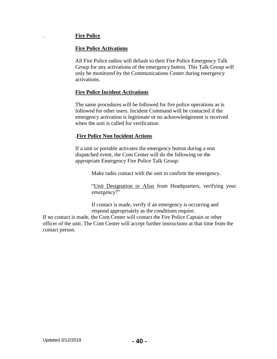## . **Fire Police**

## **Fire Police Activations**

All Fire Police radios will default to their Fire Police Emergency Talk Group for any activations of the emergency button. This Talk Group will only be monitored by the Communications Center during emergency activations.

## **Fire Police Incident Activations**

The same procedures will be followed for fire police operations as is followed for other users. Incident Command will be contacted if the emergency activation is legitimate or no acknowledgement is received when the unit is called for verification.

## .**Fire Police Non Incident Actions**

If a unit or portable activates the emergency button during a non dispatched event, the Com Center will do the following on the appropriate Emergency Fire Police Talk Group:

Make radio contact with the unit to confirm the emergency.

"Unit Designation or Alias from Headquarters, verifying your emergency?"

If contact is made, verify if an emergency is occurring and respond appropriately as the conditions require.

If no contact is made, the Com Center will contact the Fire Police Captain or other officer of the unit. The Com Center will accept further instructions at that time from the contact person.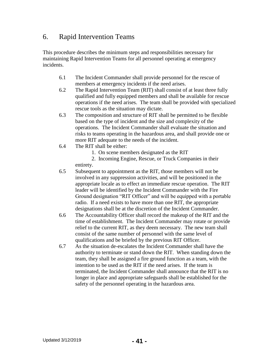# 6. Rapid Intervention Teams

This procedure describes the minimum steps and responsibilities necessary for maintaining Rapid Intervention Teams for all personnel operating at emergency incidents.

- 6.1 The Incident Commander shall provide personnel for the rescue of members at emergency incidents if the need arises.
- 6.2 The Rapid Intervention Team (RIT) shall consist of at least three fully qualified and fully equipped members and shall be available for rescue operations if the need arises. The team shall be provided with specialized rescue tools as the situation may dictate.
- 6.3 The composition and structure of RIT shall be permitted to be flexible based on the type of incident and the size and complexity of the operations. The Incident Commander shall evaluate the situation and risks to teams operating in the hazardous area, and shall provide one or more RIT adequate to the needs of the incident.
- 6.4 The RIT shall be either:
	- 1. On scene members designated as the RIT
	- 2. Incoming Engine, Rescue, or Truck Companies in their entirety.
- 6.5 Subsequent to appointment as the RIT, those members will not be involved in any suppression activities, and will be positioned in the appropriate locale as to effect an immediate rescue operation. The RIT leader will be identified by the Incident Commander with the Fire Ground designation "RIT Officer" and will be equipped with a portable radio. If a need exists to have more than one RIT, the appropriate designations shall be at the discretion of the Incident Commander.
- 6.6 The Accountability Officer shall record the makeup of the RIT and the time of establishment. The Incident Commander may rotate or provide relief to the current RIT, as they deem necessary. The new team shall consist of the same number of personnel with the same level of qualifications and be briefed by the previous RIT Officer.
- 6.7 As the situation de-escalates the Incident Commander shall have the authority to terminate or stand down the RIT. When standing down the team, they shall be assigned a fire ground function as a team, with the intention to be used as the RIT if the need arises. If the team is terminated, the Incident Commander shall announce that the RIT is no longer in place and appropriate safeguards shall be established for the safety of the personnel operating in the hazardous area.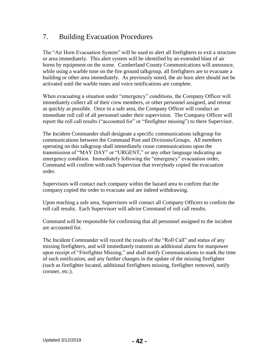# 7. Building Evacuation Procedures

The "Air Horn Evacuation System" will be used to alert all firefighters to exit a structure or area immediately. This alert system will be identified by an extended blast of air horns by equipment on the scene. Cumberland County Communications will announce, while using a warble tone on the fire ground talkgroup, all firefighters are to evacuate a building or other area immediately. As previously noted, the air horn alert should not be activated until the warble tones and voice notifications are complete.

When evacuating a situation under "emergency" conditions, the Company Officer will immediately collect all of their crew members, or other personnel assigned, and retreat as quickly as possible. Once in a safe area, the Company Officer will conduct an immediate roll call of all personnel under their supervision. The Company Officer will report the roll call results ("accounted for" or "firefighter missing") to there Supervisor.

The Incident Commander shall designate a specific communications talkgroup for communications between the Command Post and Divisions/Groups. All members operating on this talkgroup shall immediately cease communications upon the transmission of "MAY DAY" or "URGENT," or any other language indicating an emergency condition. Immediately following the "emergency" evacuation order, Command will confirm with each Supervisor that everybody copied the evacuation order.

Supervisors will contact each company within the hazard area to confirm that the company copied the order to evacuate and are indeed withdrawing.

Upon reaching a safe area, Supervisors will contact all Company Officers to confirm the roll call results. Each Supervisorr will advise Command of roll call results.

Command will be responsible for confirming that all personnel assigned to the incident are accounted for.

The Incident Commander will record the results of the "Roll Call" and status of any missing firefighters, and will immediately transmit an additional alarm for manpower upon receipt of "Firefighter Missing," and shall notify Communications to mark the time of such notification, and any further changes in the update of the missing firefighter (such as firefighter located, additional firefighters missing, firefighter removed, notify coroner, etc.).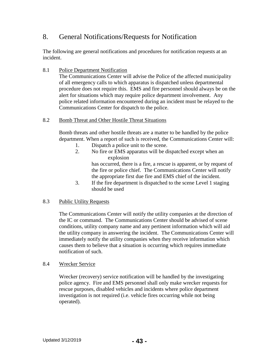# 8. General Notifications/Requests for Notification

The following are general notifications and procedures for notification requests at an incident.

8.1 Police Department Notification

The Communications Center will advise the Police of the affected municipality of all emergency calls to which apparatus is dispatched unless departmental procedure does not require this. EMS and fire personnel should always be on the alert for situations which may require police department involvement. Any police related information encountered during an incident must be relayed to the Communications Center for dispatch to the police.

8.2 Bomb Threat and Other Hostile Threat Situations

Bomb threats and other hostile threats are a matter to be handled by the police department. When a report of such is received, the Communications Center will:

- 1. Dispatch a police unit to the scene.
- 2. No fire or EMS apparatus will be dispatched except when an explosion

has occurred, there is a fire, a rescue is apparent, or by request of the fire or police chief. The Communications Center will notify the appropriate first due fire and EMS chief of the incident.

3. If the fire department is dispatched to the scene Level 1 staging should be used

## 8.3 Public Utility Requests

The Communications Center will notify the utility companies at the direction of the IC or command. The Communications Center should be advised of scene conditions, utility company name and any pertinent information which will aid the utility company in answering the incident. The Communications Center will immediately notify the utility companies when they receive information which causes them to believe that a situation is occurring which requires immediate notification of such.

## 8.4 Wrecker Service

Wrecker (recovery) service notification will be handled by the investigating police agency. Fire and EMS personnel shall only make wrecker requests for rescue purposes, disabled vehicles and incidents where police department investigation is not required (i.e. vehicle fires occurring while not being operated).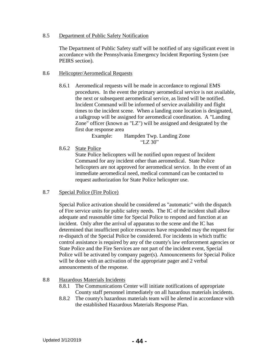#### 8.5 Department of Public Safety Notification

The Department of Public Safety staff will be notified of any significant event in accordance with the Pennsylvania Emergency Incident Reporting System (see PEIRS section).

#### 8.6 Helicopter/Aeromedical Requests

8.6.1 Aeromedical requests will be made in accordance to regional EMS procedures. In the event the primary aeromedical service is not available, the next or subsequent aeromedical service, as listed will be notified. Incident Command will be informed of service availability and flight times to the incident scene. When a landing zone location is designated, a talkgroup will be assigned for aeromedical coordination. A "Landing Zone" officer (known as "LZ") will be assigned and designated by the first due response area

> Example: Hampden Twp. Landing Zone "LZ 30"

8.6.2 State Police

State Police helicopters will be notified upon request of Incident Command for any incident other than aeromedical. State Police helicopters are not approved for aeromedical service. In the event of an immediate aeromedical need, medical command can be contacted to request authorization for State Police helicopter use.

#### 8.7 Special Police (Fire Police)

Special Police activation should be considered as "automatic" with the dispatch of Fire service units for public safety needs. The IC of the incident shall allow adequate and reasonable time for Special Police to respond and function at an incident. Only after the arrival of apparatus to the scene and the IC has determined that insufficient police resources have responded may the request for re-dispatch of the Special Police be considered. For incidents in which traffic control assistance is required by any of the county's law enforcement agencies or State Police and the Fire Services are not part of the incident event, Special Police will be activated by company pager(s). Announcements for Special Police will be done with an activation of the appropriate pager and 2 verbal announcements of the response.

#### 8.8 Hazardous Materials Incidents

- 8.8.1 The Communications Center will initiate notifications of appropriate County staff personnel immediately on all hazardous materials incidents.
- 8.8.2 The county's hazardous materials team will be alerted in accordance with the established Hazardous Materials Response Plan.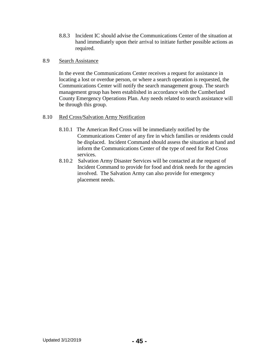8.8.3 Incident IC should advise the Communications Center of the situation at hand immediately upon their arrival to initiate further possible actions as required.

#### 8.9 Search Assistance

In the event the Communications Center receives a request for assistance in locating a lost or overdue person, or where a search operation is requested, the Communications Center will notify the search management group. The search management group has been established in accordance with the Cumberland County Emergency Operations Plan. Any needs related to search assistance will be through this group.

#### 8.10 Red Cross/Salvation Army Notification

- 8.10.1 The American Red Cross will be immediately notified by the Communications Center of any fire in which families or residents could be displaced. Incident Command should assess the situation at hand and inform the Communications Center of the type of need for Red Cross services.
- 8.10.2 Salvation Army Disaster Services will be contacted at the request of Incident Command to provide for food and drink needs for the agencies involved. The Salvation Army can also provide for emergency placement needs.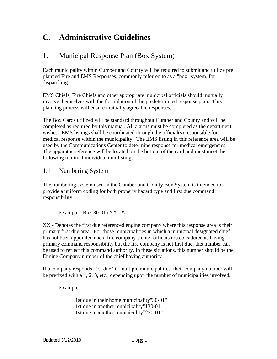# **C. Administrative Guidelines**

# 1. Municipal Response Plan (Box System)

Each municipality within Cumberland County will be required to submit and utilize pre planned Fire and EMS Responses, commonly referred to as a "box" system, for dispatching.

EMS Chiefs, Fire Chiefs and other appropriate municipal officials should mutually involve themselves with the formulation of the predetermined response plan. This planning process will ensure mutually agreeable responses.

The Box Cards utilized will be standard throughout Cumberland County and will be completed as required by this manual. All alarms must be completed as the department wishes. EMS listings shall be coordinated through the official(s) responsible for medical response within the municipality. The EMS listing in this reference area will be used by the Communications Center to determine response for medical emergencies. The apparatus reference will be located on the bottom of the card and must meet the following minimal individual unit listings:

# 1.1 Numbering System

The numbering system used in the Cumberland County Box System is intended to provide a uniform coding for both property hazard type and first due command responsibility.

Example - Box 30-01 (XX - ##)

XX - Denotes the first due referenced engine company where this response area is their primary first due area. For those municipalities in which a municipal designated chief has not been appointed and a fire company's chief officers are considered as having primary command responsibility but the fire company is not first due, this number can be used to reflect this command authority. In these situations, this number should be the Engine Company number of the chief having authority.

If a company responds "1st due" in multiple municipalities, their company number will be prefixed with a 1, 2, 3, etc., depending upon the number of municipalities involved.

Example:

1st due in their home municipality"30-01" 1st due in another municipality"130-01" 1st due in another municipality"230-01"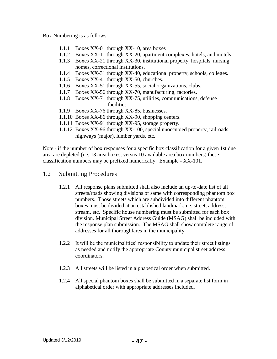Box Numbering is as follows:

- 1.1.1 Boxes XX-01 through XX-10, area boxes
- 1.1.2 Boxes XX-11 through XX-20, apartment complexes, hotels, and motels.
- 1.1.3 Boxes XX-21 through XX-30, institutional property, hospitals, nursing homes, correctional institutions.
- 1.1.4 Boxes XX-31 through XX-40, educational property, schools, colleges.
- 1.1.5 Boxes XX-41 through XX-50, churches.
- 1.1.6 Boxes XX-51 through XX-55, social organizations, clubs.
- 1.1.7 Boxes XX-56 through XX-70, manufacturing, factories.
- 1.1.8 Boxes XX-71 through XX-75, utilities, communications, defense facilities.
- 1.1.9 Boxes XX-76 through XX-85, businesses.
- 1.1.10 Boxes XX-86 through XX-90, shopping centers.
- 1.1.11 Boxes XX-91 through XX-95, storage property.
- 1.1.12 Boxes XX-96 through XX-100, special unoccupied property, railroads, highways (major), lumber yards, etc.

Note - if the number of box responses for a specific box classification for a given 1st due area are depleted (i.e. 13 area boxes, versus 10 available area box numbers) these classification numbers may be prefixed numerically. Example - XX-101.

## 1.2 Submitting Procedures

- 1.2.1 All response plans submitted shall also include an up-to-date list of all streets/roads showing divisions of same with corresponding phantom box numbers. Those streets which are subdivided into different phantom boxes must be divided at an established landmark, i.e. street, address, stream, etc. Specific house numbering must be submitted for each box division. Municipal Street Address Guide (MSAG) shall be included with the response plan submission. The MSAG shall show complete range of addresses for all thoroughfares in the municipality.
- 1.2.2 It will be the municipalities' responsibility to update their street listings as needed and notify the appropriate County municipal street address coordinators.
- 1.2.3 All streets will be listed in alphabetical order when submitted.
- 1.2.4 All special phantom boxes shall be submitted in a separate list form in alphabetical order with appropriate addresses included.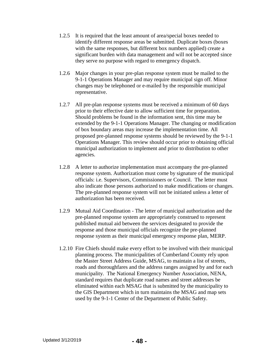- 1.2.5 It is required that the least amount of area/special boxes needed to identify different response areas be submitted. Duplicate boxes (boxes with the same responses, but different box numbers applied) create a significant burden with data management and will not be accepted since they serve no purpose with regard to emergency dispatch.
- 1.2.6 Major changes in your pre-plan response system must be mailed to the 9-1-1 Operations Manager and may require municipal sign off. Minor changes may be telephoned or e-mailed by the responsible municipal representative.
- 1.2.7 All pre-plan response systems must be received a minimum of 60 days prior to their effective date to allow sufficient time for preparation. Should problems be found in the information sent, this time may be extended by the 9-1-1 Operations Manager. The changing or modification of box boundary areas may increase the implementation time. All proposed pre-planned response systems should be reviewed by the 9-1-1 Operations Manager. This review should occur prior to obtaining official municipal authorization to implement and prior to distribution to other agencies.
- 1.2.8 A letter to authorize implementation must accompany the pre-planned response system. Authorization must come by signature of the municipal officials: i.e. Supervisors, Commissioners or Council. The letter must also indicate those persons authorized to make modifications or changes. The pre-planned response system will not be initiated unless a letter of authorization has been received.
- 1.2.9 Mutual Aid Coordination The letter of municipal authorization and the pre-planned response system are appropriately construed to represent published mutual aid between the services designated to provide the response and those municipal officials recognize the pre-planned response system as their municipal emergency response plan, MERP.
- 1.2.10 Fire Chiefs should make every effort to be involved with their municipal planning process. The municipalities of Cumberland County rely upon the Master Street Address Guide, MSAG, to maintain a list of streets, roads and thoroughfares and the address ranges assigned by and for each municipality. The National Emergency Number Association, NENA, standard requires that duplicate road names and street addresses be eliminated within each MSAG that is submitted by the municipality to the GIS Department which in turn maintains the MSAG and map sets used by the 9-1-1 Center of the Department of Public Safety.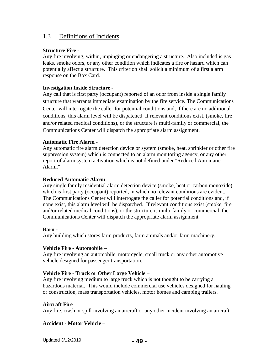## 1.3 Definitions of Incidents

## **Structure Fire -**

Any fire involving, within, impinging or endangering a structure. Also included is gas leaks, smoke odors, or any other condition which indicates a fire or hazard which can potentially affect a structure. This criterion shall solicit a minimum of a first alarm response on the Box Card.

## **Investigation Inside Structure** -

Any call that is first party (occupant) reported of an odor from inside a single family structure that warrants immediate examination by the fire service. The Communications Center will interrogate the caller for potential conditions and, if there are no additional conditions, this alarm level will be dispatched. If relevant conditions exist, (smoke, fire and/or related medical conditions), or the structure is multi-family or commercial, the Communications Center will dispatch the appropriate alarm assignment.

#### **Automatic Fire Alarm -**

Any automatic fire alarm detection device or system (smoke, heat, sprinkler or other fire suppression system) which is connected to an alarm monitoring agency, or any other report of alarm system activation which is not defined under "Reduced Automatic Alarm."

#### **Reduced Automatic Alarm –**

Any single family residential alarm detection device (smoke, heat or carbon monoxide) which is first party (occupant) reported, in which no relevant conditions are evident. The Communications Center will interrogate the caller for potential conditions and, if none exist, this alarm level will be dispatched. If relevant conditions exist (smoke, fire and/or related medical conditions), or the structure is multi-family or commercial, the Communications Center will dispatch the appropriate alarm assignment.

#### **Barn -**

Any building which stores farm products, farm animals and/or farm machinery.

#### **Vehicle Fire - Automobile –**

Any fire involving an automobile, motorcycle, small truck or any other automotive vehicle designed for passenger transportation.

## **Vehicle Fire - Truck or Other Large Vehicle –**

Any fire involving medium to large truck which is not thought to be carrying a hazardous material. This would include commercial use vehicles designed for hauling or construction, mass transportation vehicles, motor homes and camping trailers.

#### **Aircraft Fire –**

Any fire, crash or spill involving an aircraft or any other incident involving an aircraft.

## **Accident - Motor Vehicle –**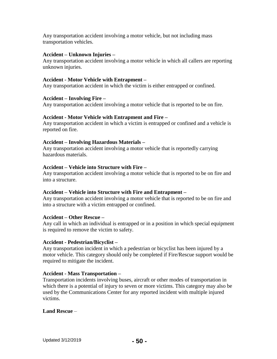Any transportation accident involving a motor vehicle, but not including mass transportation vehicles.

#### **Accident – Unknown Injuries –**

Any transportation accident involving a motor vehicle in which all callers are reporting unknown injuries.

#### **Accident - Motor Vehicle with Entrapment –**

Any transportation accident in which the victim is either entrapped or confined.

#### **Accident – Involving Fire –**

Any transportation accident involving a motor vehicle that is reported to be on fire.

#### **Accident - Motor Vehicle with Entrapment and Fire –**

Any transportation accident in which a victim is entrapped or confined and a vehicle is reported on fire.

#### **Accident – Involving Hazardous Materials –**

Any transportation accident involving a motor vehicle that is reportedly carrying hazardous materials.

#### **Accident – Vehicle into Structure with Fire –**

Any transportation accident involving a motor vehicle that is reported to be on fire and into a structure.

#### **Accident – Vehicle into Structure with Fire and Entrapment –**

Any transportation accident involving a motor vehicle that is reported to be on fire and into a structure with a victim entrapped or confined.

#### **Accident – Other Rescue –**

Any call in which an individual is entrapped or in a position in which special equipment is required to remove the victim to safety.

#### **Accident - Pedestrian/Bicyclist –**

Any transportation incident in which a pedestrian or bicyclist has been injured by a motor vehicle. This category should only be completed if Fire/Rescue support would be required to mitigate the incident.

#### **Accident - Mass Transportation –**

Transportation incidents involving buses, aircraft or other modes of transportation in which there is a potential of injury to seven or more victims. This category may also be used by the Communications Center for any reported incident with multiple injured victims.

#### **Land Rescue** –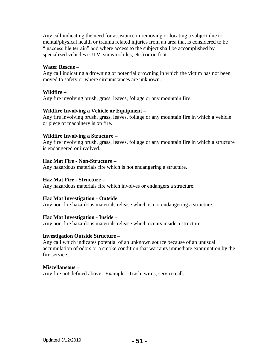Any call indicating the need for assistance in removing or locating a subject due to mental/physical health or trauma related injuries from an area that is considered to be "inaccessible terrain" and where access to the subject shall be accomplished by specialized vehicles (UTV, snowmobiles, etc.) or on foot.

#### **Water Rescue –**

Any call indicating a drowning or potential drowning in which the victim has not been moved to safety or where circumstances are unknown.

## **Wildfire –**

Any fire involving brush, grass, leaves, foliage or any mountain fire.

## **Wildfire Involving a Vehicle or Equipment –**

Any fire involving brush, grass, leaves, foliage or any mountain fire in which a vehicle or piece of machinery is on fire.

## **Wildfire Involving a Structure –**

Any fire involving brush, grass, leaves, foliage or any mountain fire in which a structure is endangered or involved.

## **Haz Mat Fire - Non-Structure –**

Any hazardous materials fire which is not endangering a structure.

#### **Haz Mat Fire - Structure –**

Any hazardous materials fire which involves or endangers a structure.

## **Haz Mat Investigation - Outside –**

Any non-fire hazardous materials release which is not endangering a structure.

#### **Haz Mat Investigation - Inside –**

Any non-fire hazardous materials release which occurs inside a structure.

#### **Investigation Outside Structure –**

Any call which indicates potential of an unknown source because of an unusual accumulation of odors or a smoke condition that warrants immediate examination by the fire service.

#### **Miscellaneous –**

Any fire not defined above. Example: Trash, wires, service call.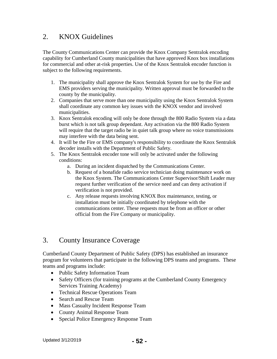# 2. KNOX Guidelines

The County Communications Center can provide the Knox Company Sentralok encoding capability for Cumberland County municipalities that have approved Knox box installations for commercial and other at-risk properties. Use of the Knox Sentralok encoder function is subject to the following requirements.

- 1. The municipality shall approve the Knox Sentralok System for use by the Fire and EMS providers serving the municipality. Written approval must be forwarded to the county by the municipality.
- 2. Companies that serve more than one municipality using the Knox Sentralok System shall coordinate any common key issues with the KNOX vendor and involved municipalities.
- 3. Knox Sentralok encoding will only be done through the 800 Radio System via a data burst which is not talk group dependant. Any activation via the 800 Radio System will require that the target radio be in quiet talk group where no voice transmissions may interfere with the data being sent.
- 4. It will be the Fire or EMS company's responsibility to coordinate the Knox Sentralok decoder installs with the Department of Public Safety.
- 5. The Knox Sentralok encoder tone will only be activated under the following conditions:
	- a. During an incident dispatched by the Communications Center.
	- b. Request of a bonafide radio service technician doing maintenance work on the Knox System. The Communications Center Supervisor/Shift Leader may request further verification of the service need and can deny activation if verification is not provided.
	- c. Any release requests involving KNOX Box maintenance, testing, or installation must be initially coordinated by telephone with the communications center. These requests must be from an officer or other official from the Fire Company or municipality.

# 3. County Insurance Coverage

Cumberland County Department of Public Safety (DPS) has established an insurance program for volunteers that participate in the following DPS teams and programs. These teams and programs include:

- Public Safety Information Team
- Safety Officers (for training programs at the Cumberland County Emergency Services Training Academy)
- Technical Rescue Operations Team
- Search and Rescue Team
- Mass Casualty Incident Response Team
- County Animal Response Team
- Special Police Emergency Response Team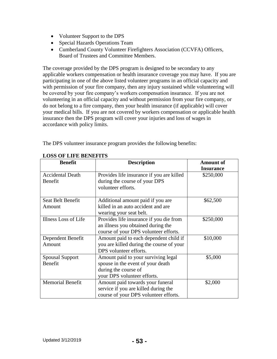- Volunteer Support to the DPS
- Special Hazards Operations Team
- Cumberland County Volunteer Firefighters Association (CCVFA) Officers, Board of Trustees and Committee Members.

The coverage provided by the DPS program is designed to be secondary to any applicable workers compensation or health insurance coverage you may have. If you are participating in one of the above listed volunteer programs in an official capacity and with permission of your fire company, then any injury sustained while volunteering will be covered by your fire company's workers compensation insurance. If you are not volunteering in an official capacity and without permission from your fire company, or do not belong to a fire company, then your health insurance (if applicable) will cover your medical bills. If you are not covered by workers compensation or applicable health insurance then the DPS program will cover your injuries and loss of wages in accordance with policy limits.

The DPS volunteer insurance program provides the following benefits:

| <b>Benefit</b>                     | <b>Description</b>                                                                                                              | <b>Amount of</b><br><b>Insurance</b> |
|------------------------------------|---------------------------------------------------------------------------------------------------------------------------------|--------------------------------------|
| <b>Accidental Death</b><br>Benefit | Provides life insurance if you are killed<br>during the course of your DPS<br>volunteer efforts.                                | \$250,000                            |
| Seat Belt Benefit<br>Amount        | Additional amount paid if you are<br>killed in an auto accident and are<br>wearing your seat belt.                              | \$62,500                             |
| Illness Loss of Life               | Provides life insurance if you die from<br>an illness you obtained during the<br>course of your DPS volunteer efforts.          | \$250,000                            |
| Dependent Benefit<br>Amount        | Amount paid to each dependent child if<br>you are killed during the course of your<br>DPS volunteer efforts.                    | \$10,000                             |
| <b>Spousal Support</b><br>Benefit  | Amount paid to your surviving legal<br>spouse in the event of your death<br>during the course of<br>your DPS volunteer efforts. | \$5,000                              |
| <b>Memorial Benefit</b>            | Amount paid towards your funeral<br>service if you are killed during the<br>course of your DPS volunteer efforts.               | \$2,000                              |

## **LOSS OF LIFE BENEFITS**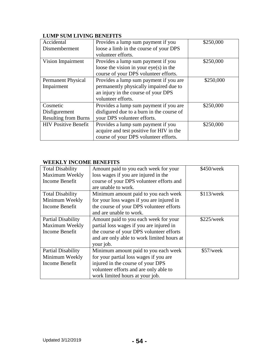| Accidental                  | Provides a lump sum payment if you        | \$250,000 |
|-----------------------------|-------------------------------------------|-----------|
|                             |                                           |           |
| Dismemberment               | loose a limb in the course of your DPS    |           |
|                             | volunteer efforts.                        |           |
| Vision Impairment           | Provides a lump sum payment if you        | \$250,000 |
|                             | loose the vision in your $eye(s)$ in the  |           |
|                             | course of your DPS volunteer efforts.     |           |
| <b>Permanent Physical</b>   | Provides a lump sum payment if you are    | \$250,000 |
| Impairment                  | permanently physically impaired due to    |           |
|                             | an injury in the course of your DPS       |           |
|                             | volunteer efforts.                        |           |
| Cosmetic                    | Provides a lump sum payment if you are    | \$250,000 |
| Disfigurement               | disfigured due to a burn in the course of |           |
| <b>Resulting from Burns</b> | your DPS volunteer efforts.               |           |
| <b>HIV Positive Benefit</b> | Provides a lump sum payment if you        | \$250,000 |
|                             | acquire and test positive for HIV in the  |           |
|                             | course of your DPS volunteer efforts.     |           |

## **LUMP SUM LIVING BENEFITS**

## **WEEKLY INCOME BENEFITS**

| <b>Total Disability</b>   | Amount paid to you each week for your      | \$450/week |
|---------------------------|--------------------------------------------|------------|
| Maximum Weekly            | loss wages if you are injured in the       |            |
| Income Benefit            | course of your DPS volunteer efforts and   |            |
|                           | are unable to work.                        |            |
| <b>Total Disability</b>   | Minimum amount paid to you each week       | \$113/week |
| Minimum Weekly            | for your loss wages if you are injured in  |            |
| Income Benefit            | the course of your DPS volunteer efforts   |            |
|                           | and are unable to work.                    |            |
| <b>Partial Disability</b> | Amount paid to you each week for your      | \$225/week |
| Maximum Weekly            | partial loss wages if you are injured in   |            |
| Income Benefit            | the course of your DPS volunteer efforts   |            |
|                           | and are only able to work limited hours at |            |
|                           | your job.                                  |            |
| <b>Partial Disability</b> | Minimum amount paid to you each week       | \$57/week  |
| Minimum Weekly            | for your partial loss wages if you are     |            |
| Income Benefit            | injured in the course of your DPS          |            |
|                           | volunteer efforts and are only able to     |            |
|                           | work limited hours at your job.            |            |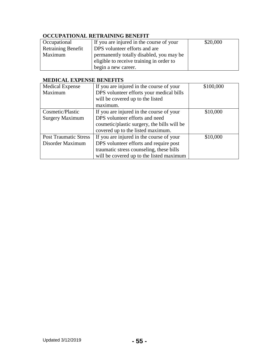# **OCCUPATIONAL RETRAINING BENEFIT**

| Occupational              | If you are injured in the course of your | \$20,000 |
|---------------------------|------------------------------------------|----------|
| <b>Retraining Benefit</b> | <b>DPS</b> volunteer efforts and are     |          |
| Maximum                   | permanently totally disabled, you may be |          |
|                           | eligible to receive training in order to |          |
|                           | begin a new career.                      |          |

## **MEDICAL EXPENSE BENEFITS**

| <b>Medical Expense</b>       | If you are injured in the course of your    | \$100,000 |
|------------------------------|---------------------------------------------|-----------|
| Maximum                      | DPS volunteer efforts your medical bills    |           |
|                              | will be covered up to the listed            |           |
|                              | maximum.                                    |           |
| Cosmetic/Plastic             | If you are injured in the course of your    | \$10,000  |
| Surgery Maximum              | DPS volunteer efforts and need              |           |
|                              | cosmetic/plastic surgery, the bills will be |           |
|                              | covered up to the listed maximum.           |           |
| <b>Post Traumatic Stress</b> | If you are injured in the course of your    | \$10,000  |
| Disorder Maximum             | DPS volunteer efforts and require post      |           |
|                              | traumatic stress counseling, these bills    |           |
|                              | will be covered up to the listed maximum    |           |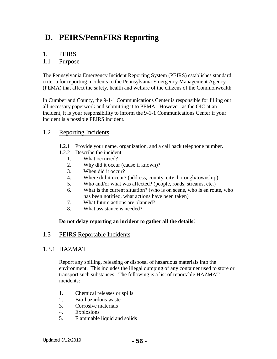# **D. PEIRS/PennFIRS Reporting**

## 1. PEIRS

## 1.1 Purpose

The Pennsylvania Emergency Incident Reporting System (PEIRS) establishes standard criteria for reporting incidents to the Pennsylvania Emergency Management Agency (PEMA) that affect the safety, health and welfare of the citizens of the Commonwealth.

In Cumberland County, the 9-1-1 Communications Center is responsible for filling out all necessary paperwork and submitting it to PEMA. However, as the OIC at an incident, it is your responsibility to inform the 9-1-1 Communications Center if your incident is a possible PEIRS incident.

## 1.2 Reporting Incidents

- 1.2.1 Provide your name, organization, and a call back telephone number.
- 1.2.2 Describe the incident:
	- 1. What occurred?
	- 2. Why did it occur (cause if known)?
	- 3. When did it occur?
	- 4. Where did it occur? (address, county, city, borough/township)
	- 5. Who and/or what was affected? (people, roads, streams, etc.)
	- 6. What is the current situation? (who is on scene, who is en route, who has been notified, what actions have been taken)
	- 7. What future actions are planned?
	- 8. What assistance is needed?

#### **Do not delay reporting an incident to gather all the details!**

## 1.3 PEIRS Reportable Incidents

## 1.3.1 HAZMAT

Report any spilling, releasing or disposal of hazardous materials into the environment. This includes the illegal dumping of any container used to store or transport such substances. The following is a list of reportable HAZMAT incidents:

- 1. Chemical releases or spills
- 2. Bio-hazardous waste
- 3. Corrosive materials
- 4. Explosions
- 5. Flammable liquid and solids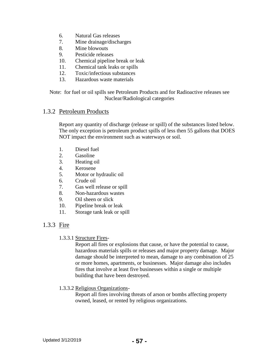- 6. Natural Gas releases
- 7. Mine drainage/discharges
- 8. Mine blowouts
- 9. Pesticide releases
- 10. Chemical pipeline break or leak
- 11. Chemical tank leaks or spills
- 12. Toxic/infectious substances
- 13. Hazardous waste materials

Note: for fuel or oil spills see Petroleum Products and for Radioactive releases see Nuclear/Radiological categories

## 1.3.2 Petroleum Products

Report any quantity of discharge (release or spill) of the substances listed below. The only exception is petroleum product spills of less then 55 gallons that DOES NOT impact the environment such as waterways or soil.

- 1. Diesel fuel
- 2. Gasoline
- 3. Heating oil
- 4. Kerosene
- 5. Motor or hydraulic oil
- 6. Crude oil
- 7. Gas well release or spill
- 8. Non-hazardous wastes
- 9. Oil sheen or slick
- 10. Pipeline break or leak
- 11. Storage tank leak or spill

# 1.3.3 Fire

1.3.3.1 Structure Fires-

Report all fires or explosions that cause, or have the potential to cause, hazardous materials spills or releases and major property damage. Major damage should be interpreted to mean, damage to any combination of 25 or more homes, apartments, or businesses. Major damage also includes fires that involve at least five businesses within a single or multiple building that have been destroyed.

1.3.3.2 Religious Organizations-

Report all fires involving threats of arson or bombs affecting property owned, leased, or rented by religious organizations.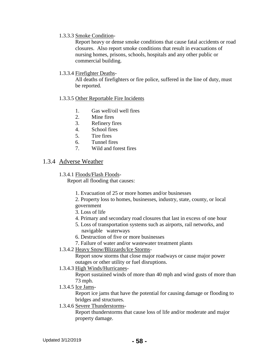1.3.3.3 Smoke Condition-

Report heavy or dense smoke conditions that cause fatal accidents or road closures. Also report smoke conditions that result in evacuations of nursing homes, prisons, schools, hospitals and any other public or commercial building.

1.3.3.4 Firefighter Deaths-

All deaths of firefighters or fire police, suffered in the line of duty, must be reported.

- 1.3.3.5 Other Reportable Fire Incidents
	- 1. Gas well/oil well fires
	- 2. Mine fires
	- 3. Refinery fires
	- 4. School fires
	- 5. Tire fires
	- 6. Tunnel fires
	- 7. Wild and forest fires

## 1.3.4 Adverse Weather

1.3.4.1 Floods/Flash Floods-

Report all flooding that causes:

- 1. Evacuation of 25 or more homes and/or businesses
- 2. Property loss to homes, businesses, industry, state, county, or local government
- 3. Loss of life
- 4. Primary and secondary road closures that last in excess of one hour
- 5. Loss of transportation systems such as airports, rail networks, and navigable waterways
- 6. Destruction of five or more businesses
- 7. Failure of water and/or wastewater treatment plants
- 1.3.4.2 Heavy Snow/Blizzards/Ice Storms-

Report snow storms that close major roadways or cause major power outages or other utility or fuel disruptions.

1.3.4.3 High Winds/Hurricanes-

Report sustained winds of more than 40 mph and wind gusts of more than 73 mph.

1.3.4.5 Ice Jams-

Report ice jams that have the potential for causing damage or flooding to bridges and structures.

1.3.4.6 Severe Thunderstorms-

Report thunderstorms that cause loss of life and/or moderate and major property damage.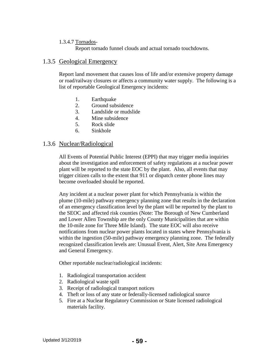## 1.3.4.7 Tornados-

Report tornado funnel clouds and actual tornado touchdowns.

## 1.3.5 Geological Emergency

Report land movement that causes loss of life and/or extensive property damage or road/railway closures or affects a community water supply. The following is a list of reportable Geological Emergency incidents:

- 1. Earthquake
- 2. Ground subsidence
- 3. Landslide or mudslide
- 4. Mine subsidence
- 5. Rock slide
- 6. Sinkhole

## 1.3.6 Nuclear/Radiological

All Events of Potential Public Interest (EPPI) that may trigger media inquiries about the investigation and enforcement of safety regulations at a nuclear power plant will be reported to the state EOC by the plant. Also, all events that may trigger citizen calls to the extent that 911 or dispatch center phone lines may become overloaded should be reported.

Any incident at a nuclear power plant for which Pennsylvania is within the plume (10-mile) pathway emergency planning zone that results in the declaration of an emergency classification level by the plant will be reported by the plant to the SEOC and affected risk counties (Note: The Borough of New Cumberland and Lower Allen Township are the only County Municipalities that are within the 10-mile zone for Three Mile Island). The state EOC will also receive notifications from nuclear power plants located in states where Pennsylvania is within the ingestion (50-mile) pathway emergency planning zone. The federally recognized classification levels are: Unusual Event, Alert, Site Area Emergency and General Emergency.

Other reportable nuclear/radiological incidents:

- 1. Radiological transportation accident
- 2. Radiological waste spill
- 3. Receipt of radiological transport notices
- 4. Theft or loss of any state or federally-licensed radiological source
- 5. Fire at a Nuclear Regulatory Commission or State licensed radiological materials facility.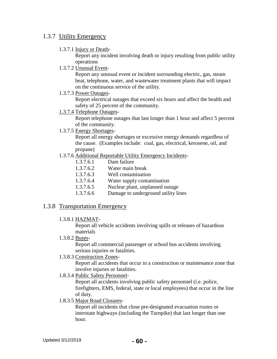## 1.3.7 Utility Emergency

1.3.7.1 Injury or Death-

Report any incident involving death or injury resulting from public utility operations

1.3.7.2 Unusual Event-

Report any unusual event or incident surrounding electric, gas, steam heat, telephone, water, and wastewater treatment plants that will impact on the continuous service of the utility.

1.3.7.3 Power Outages-

Report electrical outages that exceed six hours and affect the health and safety of 25 percent of the community.

1.3.7.4 Telephone Outages-

Report telephone outages that last longer than 1 hour and affect 5 percent of the community.

1.3.7.5 Energy Shortages-

Report all energy shortages or excessive energy demands regardless of the cause. (Examples include: coal, gas, electrical, kerosene, oil, and propane)

- 1.3.7.6 Additional Reportable Utility Emergency Incidents-
	- 1.3.7.6.1 Dam failure
	- 1.3.7.6.2 Water main break
	- 1.3.7.6.3 Well contamination
	- 1.3.7.6.4 Water supply contamination
	- 1.3.7.6.5 Nuclear plant, unplanned outage
	- 1.3.7.6.6 Damage to underground utility lines

## 1.3.8 Transportation Emergency

1.3.8.1 HAZMAT-

Report all vehicle accidents involving spills or releases of hazardous materials

1.3.8.2 Buses-

Report all commercial passenger or school bus accidents involving serious injuries or fatalities.

1.3.8.3 Construction Zones-

Report all accidents that occur in a construction or maintenance zone that involve injuries or fatalities.

1.8.3.4 Public Safety Personnel-

Report all accidents involving public safety personnel (i.e. police, firefighters, EMS, federal, state or local employees) that occur in the line of duty.

1.8.3.5 Major Road Closures-

Report all incidents that close pre-designated evacuation routes or interstate highways (including the Turnpike) that last longer than one hour.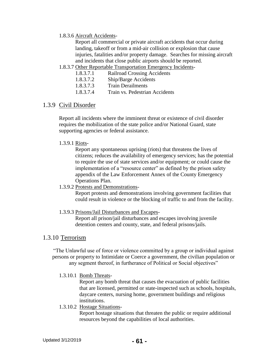#### 1.8.3.6 Aircraft Accidents-

Report all commercial or private aircraft accidents that occur during landing, takeoff or from a mid-air collision or explosion that cause injuries, fatalities and/or property damage. Searches for missing aircraft and incidents that close public airports should be reported.

1.8.3.7 Other Reportable Transportation Emergency Incidents-

| <b>Railroad Crossing Accidents</b> |
|------------------------------------|
|                                    |

- 1.8.3.7.2 Ship/Barge Accidents
- 1.8.3.7.3 Train Derailments
- 1.8.3.7.4 Train vs. Pedestrian Accidents

## 1.3.9 Civil Disorder

Report all incidents where the imminent threat or existence of civil disorder requires the mobilization of the state police and/or National Guard, state supporting agencies or federal assistance.

#### 1.3.9.1 Riots-

Report any spontaneous uprising (riots) that threatens the lives of citizens; reduces the availability of emergency services; has the potential to require the use of state services and/or equipment; or could cause the implementation of a "resource center" as defined by the prison safety appendix of the Law Enforcement Annex of the County Emergency Operations Plan.

#### 1.3.9.2 Protests and Demonstrations-

Report protests and demonstrations involving government facilities that could result in violence or the blocking of traffic to and from the facility.

#### 1.3.9.3 Prisons/Jail Disturbances and Escapes-

Report all prison/jail disturbances and escapes involving juvenile detention centers and county, state, and federal prisons/jails.

## 1.3.10 Terrorism

"The Unlawful use of force or violence committed by a group or individual against persons or property to Intimidate or Coerce a government, the civilian population or any segment thereof, in furtherance of Political or Social objectives"

#### 1.3.10.1 Bomb Threats-

Report any bomb threat that causes the evacuation of public facilities that are licensed, permitted or state-inspected such as schools, hospitals, daycare centers, nursing home, government buildings and religious institutions.

#### 1.3.10.2 Hostage Situations-

Report hostage situations that threaten the public or require additional resources beyond the capabilities of local authorities.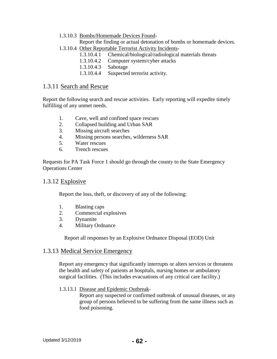1.3.10.3 Bombs/Homemade Devices Found-

Report the finding or actual detonation of bombs or homemade devices.

- 1.3.10.4 Other Reportable Terrorist Activity Incidents-
	- 1.3.10.4.1 Chemical/biological/radiological materials threats
	- 1.3.10.4.2 Computer system/cyber attacks
	- 1.3.10.4.3 Sabotage
	- 1.3.10.4.4 Suspected terrorist activity.

## 1.3.11 Search and Rescue

Report the following search and rescue activities. Early reporting will expedite timely fulfilling of any unmet needs.

- 1. Cave, well and confined space rescues
- 2. Collapsed building and Urban SAR
- 3. Missing aircraft searches
- 4. Missing persons searches, wilderness SAR
- 5. Water rescues
- 6. Trench rescues

Requests for PA Task Force 1 should go through the county to the State Emergency Operations Center

## 1.3.12 Explosive

Report the loss, theft, or discovery of any of the following:

- 1. Blasting caps
- 2. Commercial explosives
- 3. Dynamite
- 4. Military Ordnance

Report all responses by an Explosive Ordnance Disposal (EOD) Unit

## 1.3.13 Medical Service Emergency

Report any emergency that significantly interrupts or alters services or threatens the health and safety of patients at hospitals, nursing homes or ambulatory surgical facilities. (This includes evacuations of any critical care facility.)

#### 1.3.13.1 Disease and Epidemic Outbreak-

Report any suspected or confirmed outbreak of unusual diseases, or any group of persons believed to be suffering from the same illness such as food poisoning.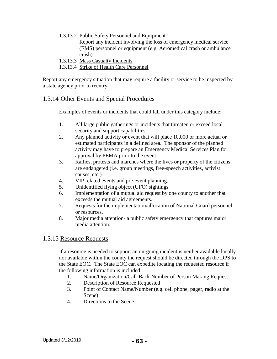1.3.13.2 Public Safety Personnel and Equipment-

Report any incident involving the loss of emergency medical service (EMS) personnel or equipment (e.g. Aeromedical crash or ambulance crash)

- 1.3.13.3 Mass Casualty Incidents
- 1.3.13.4 Strike of Health Care Personnel

Report any emergency situation that may require a facility or service to be inspected by a state agency prior to reentry.

## 1.3.14 Other Events and Special Procedures

Examples of events or incidents that could fall under this category include:

- 1. All large public gatherings or incidents that threaten or exceed local security and support capabilities.
- 2. Any planned activity or event that will place 10,000 or more actual or estimated participants in a defined area. The sponsor of the planned activity may have to prepare an Emergency Medical Services Plan for approval by PEMA prior to the event.
- 3. Rallies, protests and marches where the lives or property of the citizens are endangered (i.e. group meetings, free-speech activities, activist causes, etc.)
- 4. VIP related events and pre-event planning.
- 5. Unidentified flying object (UFO) sightings
- 6. Implementation of a mutual aid request by one county to another that exceeds the mutual aid agreements.
- 7. Requests for the implementation/allocation of National Guard personnel or resources.
- 8. Major media attention- a public safety emergency that captures major media attention.

## 1.3.15 Resource Requests

If a resource is needed to support an on-going incident is neither available locally nor available within the county the request should be directed through the DPS to the State EOC. The State EOC can expedite locating the requested resource if the following information is included:

- 1. Name/Organization/Call-Back Number of Person Making Request
- 2. Description of Resource Requested
- 3. Point of Contact Name/Number (e.g. cell phone, pager, radio at the Scene)
- 4. Directions to the Scene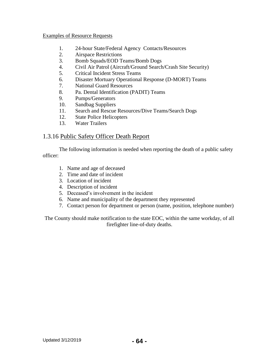#### Examples of Resource Requests

- 1. 24-hour State/Federal Agency Contacts/Resources
- 2. Airspace Restrictions
- 3. Bomb Squads/EOD Teams/Bomb Dogs
- 4. Civil Air Patrol (Aircraft/Ground Search/Crash Site Security)
- 5. Critical Incident Stress Teams
- 6. Disaster Mortuary Operational Response (D-MORT) Teams
- 7. National Guard Resources
- 8. Pa. Dental Identification (PADIT) Teams
- 9. Pumps/Generators
- 10. Sandbag Suppliers
- 11. Search and Rescue Resources/Dive Teams/Search Dogs
- 12. State Police Helicopters
- 13. Water Trailers

## 1.3.16 Public Safety Officer Death Report

The following information is needed when reporting the death of a public safety officer:

- 1. Name and age of deceased
- 2. Time and date of incident
- 3. Location of incident
- 4. Description of incident
- 5. Deceased's involvement in the incident
- 6. Name and municipality of the department they represented
- 7. Contact person for department or person (name, position, telephone number)

The County should make notification to the state EOC, within the same workday, of all firefighter line-of-duty deaths.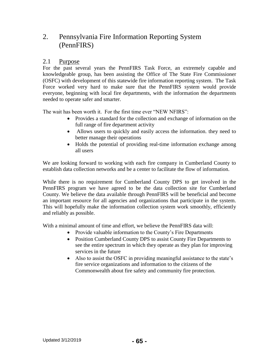# 2. Pennsylvania Fire Information Reporting System (PennFIRS)

## 2.1 Purpose

For the past several years the PennFIRS Task Force, an extremely capable and knowledgeable group, has been assisting the Office of The State Fire Commissioner (OSFC) with development of this statewide fire information reporting system. The Task Force worked very hard to make sure that the PennFIRS system would provide everyone, beginning with local fire departments, with the information the departments needed to operate safer and smarter.

The wait has been worth it. For the first time ever "NEW NFIRS":

- Provides a standard for the collection and exchange of information on the full range of fire department activity
- Allows users to quickly and easily access the information. they need to better manage their operations
- Holds the potential of providing real-time information exchange among all users

We are looking forward to working with each fire company in Cumberland County to establish data collection networks and be a center to facilitate the flow of information.

While there is no requirement for Cumberland County DPS to get involved in the PennFIRS program we have agreed to be the data collection site for Cumberland County. We believe the data available through PennFIRS will be beneficial and become an important resource for all agencies and organizations that participate in the system. This will hopefully make the information collection system work smoothly, efficiently and reliably as possible.

With a minimal amount of time and effort, we believe the PennFIRS data will:

- Provide valuable information to the County's Fire Departments
- Position Cumberland County DPS to assist County Fire Departments to see the entire spectrum in which they operate as they plan for improving services in the future
- Also to assist the OSFC in providing meaningful assistance to the state's fire service organizations and information to the citizens of the Commonwealth about fire safety and community fire protection.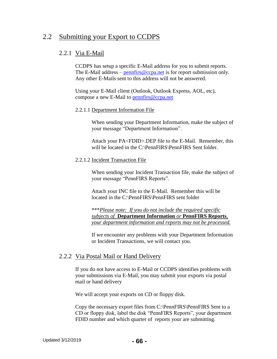# 2.2 Submitting your Export to CCDPS

# 2.2.1 Via E-Mail

CCDPS has setup a specific E-Mail address for you to submit reports. The E-Mail address – penntific  $@ccpa.net$  is for report submission only. Any other E-Mails sent to this address will not be answered.

Using your E-Mail client (Outlook, Outlook Express, AOL, etc), compose a new E-Mail to [pennfirs@ccpa.net](mailto:pennfirs@ccpa.net)

## 2.2.1.1 Department Information File

When sending your Department Information, make the subject of your message "Department Information".

Attach your PA<FDID>.DEP file to the E-Mail. Remember, this will be located in the C:\PennFIRS\PennFIRS Sent folder.

## 2.2.1.2 Incident Transaction File

When sending your Incident Transaction file, make the subject of your message "PennFIRS Reports".

Attach your INC file to the E-Mail. Remember this will be located in the C:\PennFIRS\PennFIRS sent folder

\*\*\**Please note: If you do not include the required specific subjects of* **Department Information** *or* **PennFIRS Reports***, your department information and reports may not be processed.* 

If we encounter any problems with your Department Information or Incident Transactions, we will contact you.

# 2.2.2 Via Postal Mail or Hand Delivery

If you do not have access to E-Mail or CCDPS identifies problems with your submissions via E-Mail, you may submit your exports via postal mail or hand delivery

We will accept your exports on CD or floppy disk.

Copy the necessary export files from C:\PennFIRS\PennFIRS Sent to a CD or floppy disk, label the disk "PennFIRS Reports", your department FDID number and which quarter of reports your are submitting.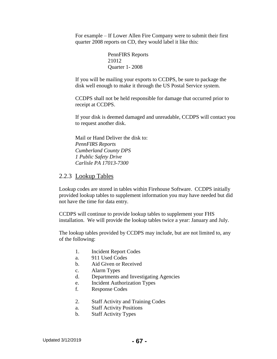For example – If Lower Allen Fire Company were to submit their first quarter 2008 reports on CD, they would label it like this:

> PennFIRS Reports 21012 Quarter 1- 2008

If you will be mailing your exports to CCDPS, be sure to package the disk well enough to make it through the US Postal Service system.

CCDPS shall not be held responsible for damage that occurred prior to receipt at CCDPS.

If your disk is deemed damaged and unreadable, CCDPS will contact you to request another disk.

Mail or Hand Deliver the disk to: *PennFIRS Reports Cumberland County DPS 1 Public Safety Drive Carlisle PA 17013-7300*

## 2.2.3 Lookup Tables

Lookup codes are stored in tables within Firehouse Software. CCDPS initially provided lookup tables to supplement information you may have needed but did not have the time for data entry.

CCDPS will continue to provide lookup tables to supplement your FHS installation. We will provide the lookup tables twice a year: January and July.

The lookup tables provided by CCDPS may include, but are not limited to, any of the following:

- 1. Incident Report Codes
- a. 911 Used Codes
- b. Aid Given or Received
- c. Alarm Types
- d. Departments and Investigating Agencies
- e. Incident Authorization Types
- f. Response Codes
- 2. Staff Activity and Training Codes
- a. Staff Activity Positions
- b. Staff Activity Types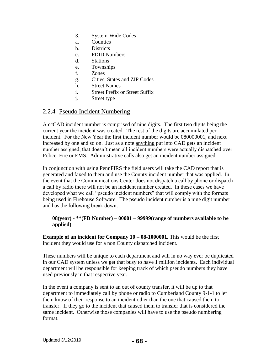- 3. System-Wide Codes
- a. Counties
- b. Districts
- c. FDID Numbers
- d. Stations
- e. Townships
- f. Zones
- g. Cities, States and ZIP Codes
- h. Street Names
- i. Street Prefix or Street Suffix
- j. Street type

## 2.2.4 Pseudo Incident Numbering

A ccCAD incident number is comprised of nine digits. The first two digits being the current year the incident was created. The rest of the digits are accumulated per incident. For the New Year the first incident number would be 080000001, and next increased by one and so on. Just as a note anything put into CAD gets an incident number assigned, that doesn't mean all incident numbers were actually dispatched over Police, Fire or EMS. Administrative calls also get an incident number assigned.

In conjunction with using PennFIRS the field users will take the CAD report that is generated and faxed to them and use the County incident number that was applied. In the event that the Communications Center does not dispatch a call by phone or dispatch a call by radio there will not be an incident number created. In these cases we have developed what we call "pseudo incident numbers" that will comply with the formats being used in Firehouse Software. The pseudo incident number is a nine digit number and has the following break down…

## **08(year) - \*\*(FD Number) – 00001 – 99999(range of numbers available to be applied)**

**Example of an incident for Company 10 – 08-1000001.** This would be the first incident they would use for a non County dispatched incident.

These numbers will be unique to each department and will in no way ever be duplicated in our CAD system unless we get that busy to have 1 million incidents. Each individual department will be responsible for keeping track of which pseudo numbers they have used previously in that respective year.

In the event a company is sent to an out of county transfer, it will be up to that department to immediately call by phone or radio to Cumberland County 9-1-1 to let them know of their response to an incident other than the one that caused them to transfer. If they go to the incident that caused them to transfer that is considered the same incident. Otherwise those companies will have to use the pseudo numbering format.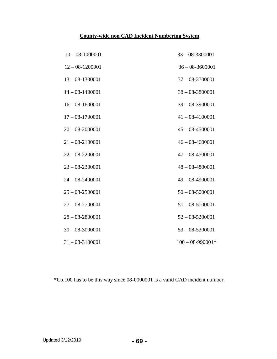# **County-wide non CAD Incident Numbering System**

| $10 - 08 - 1000001$ | $33 - 08 - 3300001$  |
|---------------------|----------------------|
| $12 - 08 - 1200001$ | $36 - 08 - 3600001$  |
| $13 - 08 - 1300001$ | $37 - 08 - 3700001$  |
| $14 - 08 - 1400001$ | $38 - 08 - 3800001$  |
| $16 - 08 - 1600001$ | $39 - 08 - 3900001$  |
| $17 - 08 - 1700001$ | $41 - 08 - 4100001$  |
| $20 - 08 - 2000001$ | $45 - 08 - 4500001$  |
| $21 - 08 - 2100001$ | $46 - 08 - 4600001$  |
| $22 - 08 - 2200001$ | $47 - 08 - 4700001$  |
| $23 - 08 - 2300001$ | $48 - 08 - 4800001$  |
| $24 - 08 - 2400001$ | $49 - 08 - 4900001$  |
| $25 - 08 - 2500001$ | $50 - 08 - 5000001$  |
| $27 - 08 - 2700001$ | $51 - 08 - 5100001$  |
| $28 - 08 - 2800001$ | $52 - 08 - 5200001$  |
| $30 - 08 - 3000001$ | $53 - 08 - 5300001$  |
| $31 - 08 - 3100001$ | $100 - 08 - 990001*$ |

\*Co.100 has to be this way since 08-0000001 is a valid CAD incident number.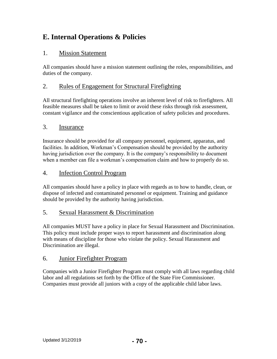# **E. Internal Operations & Policies**

# 1. Mission Statement

All companies should have a mission statement outlining the roles, responsibilities, and duties of the company.

# 2. Rules of Engagement for Structural Firefighting

All structural firefighting operations involve an inherent level of risk to firefighters. All feasible measures shall be taken to limit or avoid these risks through risk assessment, constant vigilance and the conscientious application of safety policies and procedures.

# 3. Insurance

Insurance should be provided for all company personnel, equipment, apparatus, and facilities. In addition, Workman's Compensation should be provided by the authority having jurisdiction over the company. It is the company's responsibility to document when a member can file a workman's compensation claim and how to properly do so.

# 4. Infection Control Program

All companies should have a policy in place with regards as to how to handle, clean, or dispose of infected and contaminated personnel or equipment. Training and guidance should be provided by the authority having jurisdiction.

# 5. Sexual Harassment & Discrimination

All companies MUST have a policy in place for Sexual Harassment and Discrimination. This policy must include proper ways to report harassment and discrimination along with means of discipline for those who violate the policy. Sexual Harassment and Discrimination are illegal.

# 6. Junior Firefighter Program

Companies with a Junior Firefighter Program must comply with all laws regarding child labor and all regulations set forth by the Office of the State Fire Commissioner. Companies must provide all juniors with a copy of the applicable child labor laws.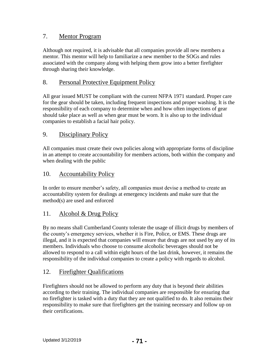## 7. Mentor Program

Although not required, it is advisable that all companies provide all new members a mentor. This mentor will help to familiarize a new member to the SOGs and rules associated with the company along with helping them grow into a better firefighter through sharing their knowledge.

## 8. Personal Protective Equipment Policy

All gear issued MUST be compliant with the current NFPA 1971 standard. Proper care for the gear should be taken, including frequent inspections and proper washing. It is the responsibility of each company to determine when and how often inspections of gear should take place as well as when gear must be worn. It is also up to the individual companies to establish a facial hair policy.

# 9. Disciplinary Policy

All companies must create their own policies along with appropriate forms of discipline in an attempt to create accountability for members actions, both within the company and when dealing with the public

# 10. Accountability Policy

In order to ensure member's safety, all companies must devise a method to create an accountability system for dealings at emergency incidents and make sure that the method(s) are used and enforced

## 11. Alcohol & Drug Policy

By no means shall Cumberland County tolerate the usage of illicit drugs by members of the county's emergency services, whether it is Fire, Police, or EMS. These drugs are illegal, and it is expected that companies will ensure that drugs are not used by any of its members. Individuals who choose to consume alcoholic beverages should not be allowed to respond to a call within eight hours of the last drink, however, it remains the responsibility of the individual companies to create a policy with regards to alcohol.

# 12. Firefighter Qualifications

Firefighters should not be allowed to perform any duty that is beyond their abilities according to their training. The individual companies are responsible for ensuring that no firefighter is tasked with a duty that they are not qualified to do. It also remains their responsibility to make sure that firefighters get the training necessary and follow up on their certifications.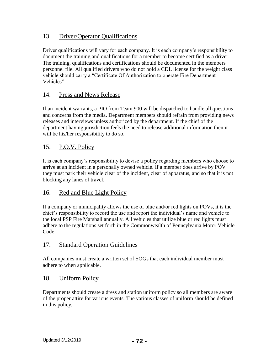# 13. Driver/Operator Qualifications

Driver qualifications will vary for each company. It is each company's responsibility to document the training and qualifications for a member to become certified as a driver. The training, qualifications and certifications should be documented in the members personnel file. All qualified drivers who do not hold a CDL license for the weight class vehicle should carry a "Certificate Of Authorization to operate Fire Department Vehicles"

## 14. Press and News Release

If an incident warrants, a PIO from Team 900 will be dispatched to handle all questions and concerns from the media. Department members should refrain from providing news releases and interviews unless authorized by the department. If the chief of the department having jurisdiction feels the need to release additional information then it will be his/her responsibility to do so.

## 15. P.O.V. Policy

It is each company's responsibility to devise a policy regarding members who choose to arrive at an incident in a personally owned vehicle. If a member does arrive by POV they must park their vehicle clear of the incident, clear of apparatus, and so that it is not blocking any lanes of travel.

# 16. Red and Blue Light Policy

If a company or municipality allows the use of blue and/or red lights on POVs, it is the chief's responsibility to record the use and report the individual's name and vehicle to the local PSP Fire Marshall annually. All vehicles that utilize blue or red lights must adhere to the regulations set forth in the Commonwealth of Pennsylvania Motor Vehicle Code.

## 17. Standard Operation Guidelines

All companies must create a written set of SOGs that each individual member must adhere to when applicable.

## 18. Uniform Policy

Departments should create a dress and station uniform policy so all members are aware of the proper attire for various events. The various classes of uniform should be defined in this policy.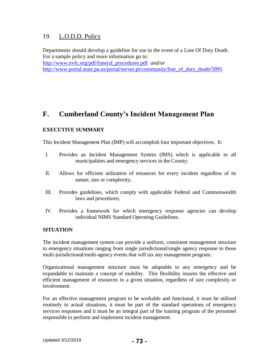# 19. L.O.D.D. Policy

Departments should develop a guideline for use in the event of a Line Of Duty Death. For a sample policy and more information go to: [http://www.nvfc.org/pdf/funeral\\_procedures.pdf](http://www.nvfc.org/pdf/funeral_procedures.pdf) *and/or* [http://www.portal.state.pa.us/portal/server.pt/community/line\\_of\\_duty\\_death/5995](http://www.portal.state.pa.us/portal/server.pt/community/line_of_duty_death/5995)

# **F. Cumberland County's Incident Management Plan**

# **EXECUTIVE SUMMARY**

This Incident Management Plan (IMP) will accomplish four important objectives. It:

- I. Provides an Incident Management System (IMS) which is applicable to all municipalities and emergency services in the County;
- II. Allows for efficient utilization of resources for every incident regardless of its nature, size or complexity;
- III. Provides guidelines, which comply with applicable Federal and Commonwealth laws and procedures;
- IV. Provides a framework for which emergency response agencies can develop individual NIMS Standard Operating Guidelines.

## **SITUATION**

The incident management system can provide a uniform, consistent management structure to emergency situations ranging from single jurisdictional/single agency response to those multi-jurisdictional/multi-agency events that will tax any management program.

Organizational management structure must be adaptable to any emergency and be expandable to maintain a concept of mobility. This flexibility insures the effective and efficient management of resources to a given situation, regardless of size complexity or involvement.

For an effective management program to be workable and functional, it must be utilized routinely in actual situations, it must be part of the standard operations of emergency services responses and it must be an integral part of the training program of the personnel responsible to perform and implement incident management.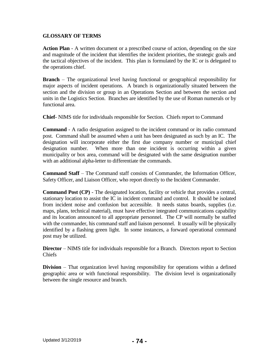#### **GLOSSARY OF TERMS**

**Action Plan** - A written document or a prescribed course of action, depending on the size and magnitude of the incident that identifies the incident priorities, the strategic goals and the tactical objectives of the incident. This plan is formulated by the IC or is delegated to the operations chief.

**Branch** – The organizational level having functional or geographical responsibility for major aspects of incident operations. A branch is organizationally situated between the section and the division or group in an Operations Section and between the section and units in the Logistics Section. Branches are identified by the use of Roman numerals or by functional area.

**Chief-** NIMS title for individuals responsible for Section. Chiefs report to Command

**Command** - A radio designation assigned to the incident command or its radio command post. Command shall be assumed when a unit has been designated as such by an IC. The designation will incorporate either the first due company number or municipal chief designation number. When more than one incident is occurring within a given municipality or box area, command will be designated with the same designation number with an additional alpha-letter to differentiate the commands.

**Command Staff** – The Command staff consists of Commander, the Information Officer, Safety Officer, and Liaison Officer, who report directly to the Incident Commander.

**Command Post (CP)** - The designated location, facility or vehicle that provides a central, stationary location to assist the IC in incident command and control. It should be isolated from incident noise and confusion but accessible. It needs status boards, supplies (i.e. maps, plans, technical material), must have effective integrated communications capability and its location announced to all appropriate personnel. The CP will normally be staffed with the commander, his command staff and liaison personnel. It usually will be physically identified by a flashing green light. In some instances, a forward operational command post may be utilized.

**Director** – NIMS title for individuals responsible for a Branch. Directors report to Section Chiefs

**Division** – That organization level having responsibility for operations within a defined geographic area or with functional responsibility. The division level is organizationally between the single resource and branch.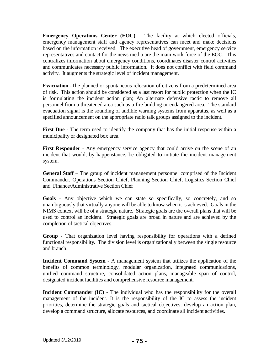**Emergency Operations Center (EOC)** - The facility at which elected officials, emergency management staff and agency representatives can meet and make decisions based on the information received. The executive head of government, emergency service representatives and contact for the news media are the main work force of the EOC. This centralizes information about emergency conditions, coordinates disaster control activities and communicates necessary public information. It does not conflict with field command activity. It augments the strategic level of incident management.

**Evacuation** -The planned or spontaneous relocation of citizens from a predetermined area of risk. This action should be considered as a last resort for public protection when the IC is formulating the incident action plan; An alternate defensive tactic to remove all personnel from a threatened area such as a fire building or endangered area. The standard evacuation signal is the sounding of audible warning systems from apparatus, as well as a specified announcement on the appropriate radio talk groups assigned to the incident.

First Due - The term used to identify the company that has the initial response within a municipality or designated box area.

**First Responder** - Any emergency service agency that could arrive on the scene of an incident that would, by happenstance, be obligated to initiate the incident management system.

**General Staff** – The group of incident management personnel comprised of the Incident Commander, Operations Section Chief, Planning Section Chief, Logistics Section Chief and Finance/Administrative Section Chief

**Goals** - Any objective which we can state so specifically, so concretely, and so unambiguously that virtually anyone will be able to know when it is achieved. Goals in the NIMS context will be of a strategic nature. Strategic goals are the overall plans that will be used to control an incident. Strategic goals are broad in nature and are achieved by the completion of tactical objectives.

**Group** - That organization level having responsibility for operations with a defined functional responsibility. The division level is organizationally between the single resource and branch.

**Incident Command System** - A management system that utilizes the application of the benefits of common terminology, modular organization, integrated communications, unified command structure, consolidated action plans, manageable span of control, designated incident facilities and comprehensive resource management.

**Incident Commander (IC)** - The individual who has the responsibility for the overall management of the incident. It is the responsibility of the IC to assess the incident priorities, determine the strategic goals and tactical objectives, develop an action plan, develop a command structure, allocate resources, and coordinate all incident activities.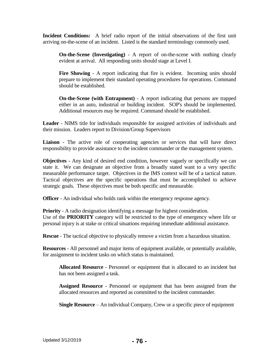**Incident Conditions:** A brief radio report of the initial observations of the first unit arriving on-the-scene of an incident. Listed is the standard terminology commonly used.

**On-the-Scene (Investigating)** - A report of on-the-scene with nothing clearly evident at arrival. All responding units should stage at Level I.

**Fire Showing** - A report indicating that fire is evident. Incoming units should prepare to implement their standard operating procedures for operations. Command should be established.

**On-the-Scene (with Entrapment)** - A report indicating that persons are trapped either in an auto, industrial or building incident. SOP's should be implemented. Additional resources may be required. Command should be established.

**Leader** - NIMS title for individuals responsible for assigned activities of individuals and their mission. Leaders report to Division/Group Supervisors

Liaison - The active role of cooperating agencies or services that will have direct responsibility to provide assistance to the incident commander or the management system.

**Objectives** - Any kind of desired end condition, however vaguely or specifically we can state it. We can designate an objective from a broadly stated want to a very specific measurable performance target. Objectives in the IMS context will be of a tactical nature. Tactical objectives are the specific operations that must be accomplished to achieve strategic goals. These objectives must be both specific and measurable.

**Officer** - An individual who holds rank within the emergency response agency.

**Priority** - A radio designation identifying a message for highest consideration. Use of the **PRIORITY** category will be restricted to the type of emergency where life or personal injury is at stake or critical situations requiring immediate additional assistance.

**Rescue** - The tactical objective to physically remove a victim from a hazardous situation.

**Resources** - All personnel and major items of equipment available, or potentially available, for assignment to incident tasks on which status is maintained.

**Allocated Resource** - Personnel or equipment that is allocated to an incident but has not been assigned a task.

**Assigned Resource** - Personnel or equipment that has been assigned from the allocated resources and reported as committed to the incident commander.

**Single Resource** – An individual Company, Crew or a specific piece of equipment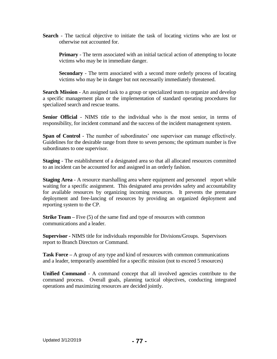**Search** - The tactical objective to initiate the task of locating victims who are lost or otherwise not accounted for.

**Primary** - The term associated with an initial tactical action of attempting to locate victims who may be in immediate danger.

**Secondary** - The term associated with a second more orderly process of locating victims who may be in danger but not necessarily immediately threatened.

**Search Mission** - An assigned task to a group or specialized team to organize and develop a specific management plan or the implementation of standard operating procedures for specialized search and rescue teams.

**Senior Official** - NIMS title to the individual who is the most senior, in terms of responsibility, for incident command and the success of the incident management system.

**Span of Control** - The number of subordinates' one supervisor can manage effectively. Guidelines for the desirable range from three to seven persons; the optimum number is five subordinates to one supervisor.

**Staging** - The establishment of a designated area so that all allocated resources committed to an incident can be accounted for and assigned in an orderly fashion.

**Staging Area** - A resource marshalling area where equipment and personnel report while waiting for a specific assignment. This designated area provides safety and accountability for available resources by organizing incoming resources. It prevents the premature deployment and free-lancing of resources by providing an organized deployment and reporting system to the CP.

**Strike Team** – Five (5) of the same find and type of resources with common communications and a leader.

**Supervisor -** NIMS title for individuals responsible for Divisions/Groups. Supervisors report to Branch Directors or Command.

**Task Force –** A group of any type and kind of resources with common communications and a leader, temporarily assembled for a specific mission (not to exceed 5 resources)

**Unified Command** - A command concept that all involved agencies contribute to the command process. Overall goals, planning tactical objectives, conducting integrated operations and maximizing resources are decided jointly.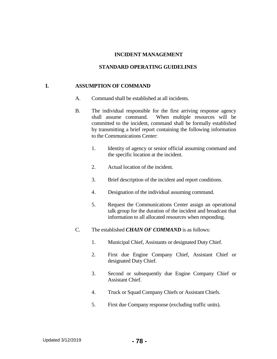#### **INCIDENT MANAGEMENT**

#### **STANDARD OPERATING GUIDELINES**

#### **I. ASSUMPTION OF COMMAND**

- A. Command shall be established at all incidents.
- B. The individual responsible for the first arriving response agency shall assume command. When multiple resources will be committed to the incident, command shall be formally established by transmitting a brief report containing the following information to the Communications Center:
	- 1. Identity of agency or senior official assuming command and the specific location at the incident.
	- 2. Actual location of the incident.
	- 3. Brief description of the incident and report conditions.
	- 4. Designation of the individual assuming command.
	- 5. Request the Communications Center assign an operational talk group for the duration of the incident and broadcast that information to all allocated resources when responding.
- C. The established *CHAIN OF COMMAND* is as follows:
	- 1. Municipal Chief, Assistants or designated Duty Chief.
	- 2. First due Engine Company Chief, Assistant Chief or designated Duty Chief.
	- 3. Second or subsequently due Engine Company Chief or Assistant Chief.
	- 4. Truck or Squad Company Chiefs or Assistant Chiefs.
	- 5. First due Company response (excluding traffic units).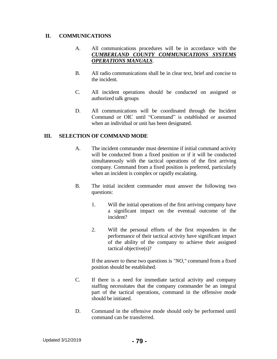#### **II. COMMUNICATIONS**

## A. All communications procedures will be in accordance with the *CUMBERLAND COUNTY COMMUNICATIONS SYSTEMS OPERATIONS MANUALS*.

- B. All radio communications shall be in clear text, brief and concise to the incident.
- C. All incident operations should be conducted on assigned or authorized talk groups
- D. All communications will be coordinated through the Incident Command or OIC until "Command" is established or assumed when an individual or unit has been designated.

## **III. SELECTION OF COMMAND MODE**

- A. The incident commander must determine if initial command activity will be conducted from a fixed position or if it will be conducted simultaneously with the tactical operations of the first arriving company. Command from a fixed position is preferred, particularly when an incident is complex or rapidly escalating.
- B. The initial incident commander must answer the following two questions:
	- 1. Will the initial operations of the first arriving company have a significant impact on the eventual outcome of the incident?
	- 2. Will the personal efforts of the first responders in the performance of their tactical activity have significant impact of the ability of the company to achieve their assigned tactical objective(s)?

If the answer to these two questions is *"NO,"* command from a fixed position should be established.

- C. If there is a need for immediate tactical activity and company staffing necessitates that the company commander be an integral part of the tactical operations, command in the offensive mode should be initiated.
- D. Command in the offensive mode should only be performed until command can be transferred.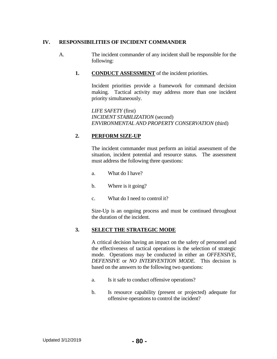## **IV. RESPONSIBILITIES OF INCIDENT COMMANDER**

- A. The incident commander of any incident shall be responsible for the following:
	- **1. CONDUCT ASSESSMENT** of the incident priorities.

Incident priorities provide a framework for command decision making. Tactical activity may address more than one incident priority simultaneously.

*LIFE SAFETY* (first) *INCIDENT STABILIZATION* (second) *ENVIRONMENTAL AND PROPERTY CONSERVATION* (third)

# **2. PERFORM SIZE-UP**

The incident commander must perform an initial assessment of the situation, incident potential and resource status. The assessment must address the following three questions:

- a. What do I have?
- b. Where is it going?
- c. What do I need to control it?

Size-Up is an ongoing process and must be continued throughout the duration of the incident.

## **3. SELECT THE STRATEGIC MODE**

A critical decision having an impact on the safety of personnel and the effectiveness of tactical operations is the selection of strategic mode. Operations may be conducted in either an *OFFENSIVE, DEFENSIVE* or *NO INTERVENTION MODE.* This decision is based on the answers to the following two questions:

- a. Is it safe to conduct offensive operations?
- b. Is resource capability (present or projected) adequate for offensive operations to control the incident?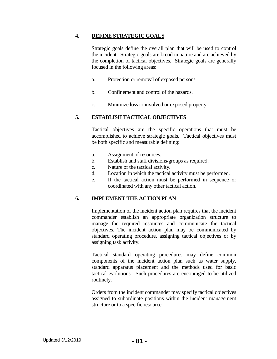#### **4. DEFINE STRATEGIC GOALS**

Strategic goals define the overall plan that will be used to control the incident. Strategic goals are broad in nature and are achieved by the completion of tactical objectives. Strategic goals are generally focused in the following areas:

- a. Protection or removal of exposed persons.
- b. Confinement and control of the hazards.
- c. Minimize loss to involved or exposed property.

# **5. ESTABLISH TACTICAL OBJECTIVES**

Tactical objectives are the specific operations that must be accomplished to achieve strategic goals. Tactical objectives must be both specific and measurable defining:

- a. Assignment of resources.
- b. Establish and staff divisions/groups as required.
- c. Nature of the tactical activity.
- d. Location in which the tactical activity must be performed.
- e. If the tactical action must be performed in sequence or coordinated with any other tactical action.

## 6**. IMPLEMENT THE ACTION PLAN**

Implementation of the incident action plan requires that the incident commander establish an appropriate organization structure to manage the required resources and communicate the tactical objectives. The incident action plan may be communicated by standard operating procedure, assigning tactical objectives or by assigning task activity.

Tactical standard operating procedures may define common components of the incident action plan such as water supply, standard apparatus placement and the methods used for basic tactical evolutions. Such procedures are encouraged to be utilized routinely.

Orders from the incident commander may specify tactical objectives assigned to subordinate positions within the incident management structure or to a specific resource.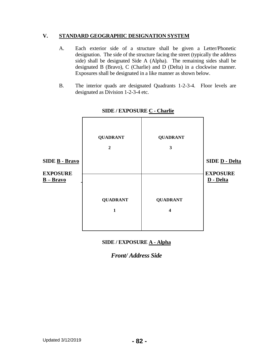## **V. STANDARD GEOGRAPHIC DESIGNATION SYSTEM**

- A. Each exterior side of a structure shall be given a Letter/Phonetic designation. The side of the structure facing the street (typically the address side) shall be designated Side A (Alpha). The remaining sides shall be designated B (Bravo), C (Charlie) and D (Delta) in a clockwise manner. Exposures shall be designated in a like manner as shown below.
- B. The interior quads are designated Quadrants 1-2-3-4. Floor levels are designated as Division 1-2-3-4 etc.



#### **SIDE / EXPOSURE C - Charlie**

# **SIDE / EXPOSURE A - Alpha**

# *Front/ Address Side*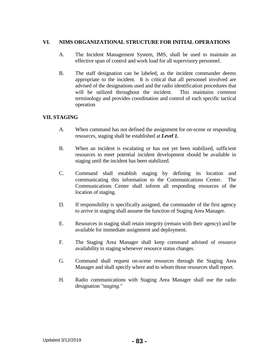#### **VI. NIMS ORGANIZATIONAL STRUCTURE FOR INITIAL OPERATIONS**

- A. The Incident Management System, IMS, shall be used to maintain an effective span of control and work load for all supervisory personnel.
- B. The staff designation can be labeled, as the incident commander deems appropriate to the incident. It is critical that all personnel involved are advised of the designations used and the radio identification procedures that will be utilized throughout the incident. This maintains common terminology and provides coordination and control of each specific tactical operation

#### **VII. STAGING**

- A. When command has not defined the assignment for on-scene or responding resources, staging shall be established at *Level 1.*
- B. When an incident is escalating or has not yet been stabilized, sufficient resources to meet potential incident development should be available in staging until the incident has been stabilized.
- C. Command shall establish staging by defining its location and communicating this information to the Communications Center. The Communications Center shall inform all responding resources of the location of staging.
- D. If responsibility is specifically assigned, the commander of the first agency to arrive in staging shall assume the function of Staging Area Manager.
- E. Resources in staging shall retain integrity (remain with their agency) and be available for immediate assignment and deployment.
- F. The Staging Area Manager shall keep command advised of resource availability in staging whenever resource status changes.
- G. Command shall request on-scene resources through the Staging Area Manager and shall specify where and to whom those resources shall report.
- H. Radio communications with Staging Area Manager shall use the radio designation *"staging."*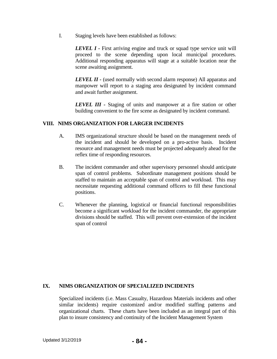I. Staging levels have been established as follows:

**LEVEL I** - First arriving engine and truck or squad type service unit will proceed to the scene depending upon local municipal procedures. Additional responding apparatus will stage at a suitable location near the scene awaiting assignment.

*LEVEL II -* (used normally with second alarm response) All apparatus and manpower will report to a staging area designated by incident command and await further assignment.

*LEVEL III -* Staging of units and manpower at a fire station or other building convenient to the fire scene as designated by incident command.

#### **VIII. NIMS ORGANIZATION FOR LARGER INCIDENTS**

- A. IMS organizational structure should be based on the management needs of the incident and should be developed on a pro-active basis. Incident resource and management needs must be projected adequately ahead for the reflex time of responding resources.
- B. The incident commander and other supervisory personnel should anticipate span of control problems. Subordinate management positions should be staffed to maintain an acceptable span of control and workload. This may necessitate requesting additional command officers to fill these functional positions.
- C. Whenever the planning, logistical or financial functional responsibilities become a significant workload for the incident commander, the appropriate divisions should be staffed. This will prevent over-extension of the incident span of control

#### **IX. NIMS ORGANIZATION OF SPECIALIZED INCIDENTS**

Specialized incidents (i.e. Mass Casualty, Hazardous Materials incidents and other similar incidents) require customized and/or modified staffing patterns and organizational charts. These charts have been included as an integral part of this plan to insure consistency and continuity of the Incident Management System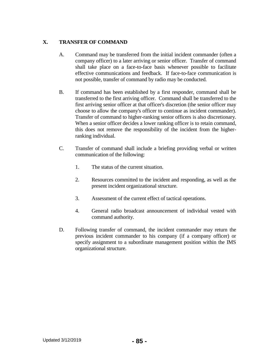# **X. TRANSFER OF COMMAND**

- A. Command may be transferred from the initial incident commander (often a company officer) to a later arriving or senior officer. Transfer of command shall take place on a face-to-face basis whenever possible to facilitate effective communications and feedback. If face-to-face communication is not possible, transfer of command by radio may be conducted.
- B. If command has been established by a first responder, command shall be transferred to the first arriving officer. Command shall be transferred to the first arriving senior officer at that officer's discretion (the senior officer may choose to allow the company's officer to continue as incident commander). Transfer of command to higher-ranking senior officers is also discretionary. When a senior officer decides a lower ranking officer is to retain command, this does not remove the responsibility of the incident from the higherranking individual.
- C. Transfer of command shall include a briefing providing verbal or written communication of the following:
	- 1. The status of the current situation.
	- 2. Resources committed to the incident and responding, as well as the present incident organizational structure.
	- 3. Assessment of the current effect of tactical operations.
	- 4. General radio broadcast announcement of individual vested with command authority.
- D. Following transfer of command, the incident commander may return the previous incident commander to his company (if a company officer) or specify assignment to a subordinate management position within the IMS organizational structure.